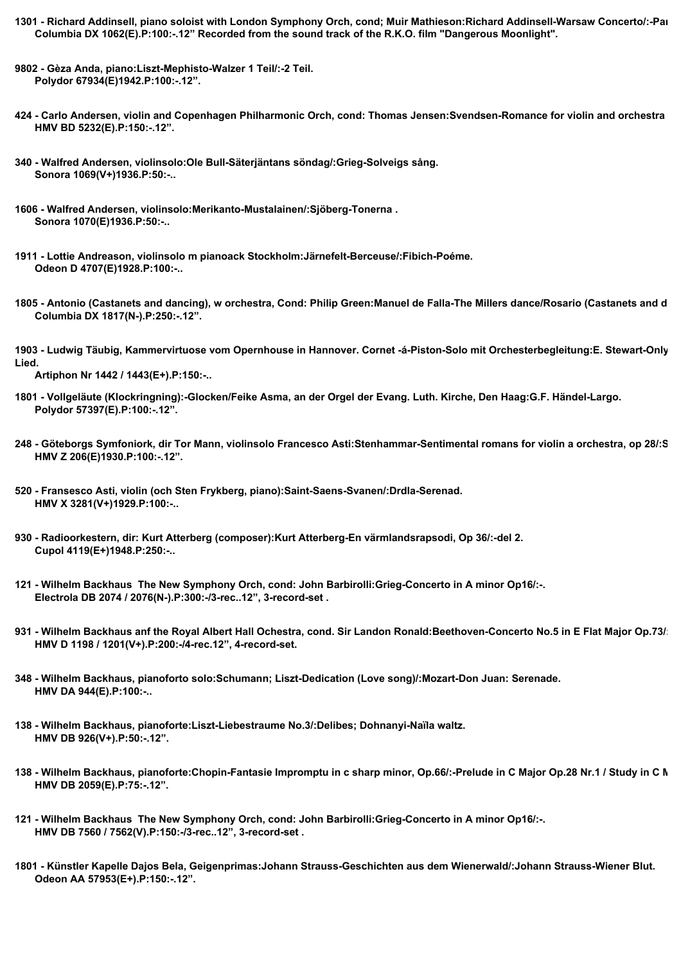- **1301 Richard Addinsell, piano soloist with London Symphony Orch, cond; Muir Mathieson:Richard Addinsell-Warsaw Concerto/:-Part 2. Columbia DX 1062(E).P:100:-.12" Recorded from the sound track of the R.K.O. film "Dangerous Moonlight".**
- **9802 Gèza Anda, piano:Liszt-Mephisto-Walzer 1 Teil/:-2 Teil. Polydor 67934(E)1942.P:100:-.12".**
- **424 Carlo Andersen, violin and Copenhagen Philharmonic Orch, cond: Thomas Jensen:Svendsen-Romance for violin and orchestra Op.26/:-. HMV BD 5232(E).P:150:-.12".**
- **340 Walfred Andersen, violinsolo:Ole Bull-Säterjäntans söndag/:Grieg-Solveigs sång. Sonora 1069(V+)1936.P:50:-..**
- **1606 Walfred Andersen, violinsolo:Merikanto-Mustalainen/:Sjöberg-Tonerna . Sonora 1070(E)1936.P:50:-..**
- **1911 Lottie Andreason, violinsolo m pianoack Stockholm:Järnefelt-Berceuse/:Fibich-Poéme. Odeon D 4707(E)1928.P:100:-..**
- 1805 Antonio (Castanets and dancing), w orchestra, Cond: Philip Green:Manuel de Falla-The Millers dance/Rosario (Castanets and d  **Columbia DX 1817(N-).P:250:-.12".**
- 1903 Ludwig Täubig, Kammervirtuose vom Opernhouse in Hannover. Cornet -á-Piston-Solo mit Orchesterbegleitung:E. Stewart-Only **Lied.**

 **Artiphon Nr 1442 / 1443(E+).P:150:-..**

- **1801 Vollgeläute (Klockringning):-Glocken/Feike Asma, an der Orgel der Evang. Luth. Kirche, Den Haag:G.F. Händel-Largo. Polydor 57397(E).P:100:-.12".**
- 248 Göteborgs Symfoniork, dir Tor Mann, violinsolo Francesco Asti:Stenhammar-Sentimental romans for violin a orchestra, op 28/:S  **HMV Z 206(E)1930.P:100:-.12".**
- **520 Fransesco Asti, violin (och Sten Frykberg, piano):Saint-Saens-Svanen/:Drdla-Serenad. HMV X 3281(V+)1929.P:100:-..**
- **930 Radioorkestern, dir: Kurt Atterberg (composer):Kurt Atterberg-En värmlandsrapsodi, Op 36/:-del 2. Cupol 4119(E+)1948.P:250:-..**
- **121 Wilhelm Backhaus The New Symphony Orch, cond: John Barbirolli:Grieg-Concerto in A minor Op16/:-. Electrola DB 2074 / 2076(N-).P:300:-/3-rec..12", 3-record-set .**
- 931 Wilhelm Backhaus anf the Royal Albert Hall Ochestra, cond. Sir Landon Ronald:Beethoven-Concerto No.5 in E Flat Major Op.73/:  **HMV D 1198 / 1201(V+).P:200:-/4-rec.12", 4-record-set.**
- **348 Wilhelm Backhaus, pianoforto solo:Schumann; Liszt-Dedication (Love song)/:Mozart-Don Juan: Serenade. HMV DA 944(E).P:100:-..**
- **138 Wilhelm Backhaus, pianoforte:Liszt-Liebestraume No.3/:Delibes; Dohnanyi-Naïla waltz. HMV DB 926(V+).P:50:-.12".**
- **138 Wilhelm Backhaus, pianoforte:Chopin-Fantasie Impromptu in c sharp minor, Op.66/:-Prelude in C Major Op.28 Nr.1 / Study in C Major Op.10 No.1. HMV DB 2059(E).P:75:-.12".**
- **121 Wilhelm Backhaus The New Symphony Orch, cond: John Barbirolli:Grieg-Concerto in A minor Op16/:-. HMV DB 7560 / 7562(V).P:150:-/3-rec..12", 3-record-set .**
- **1801 Künstler Kapelle Dajos Bela, Geigenprimas:Johann Strauss-Geschichten aus dem Wienerwald/:Johann Strauss-Wiener Blut. Odeon AA 57953(E+).P:150:-.12".**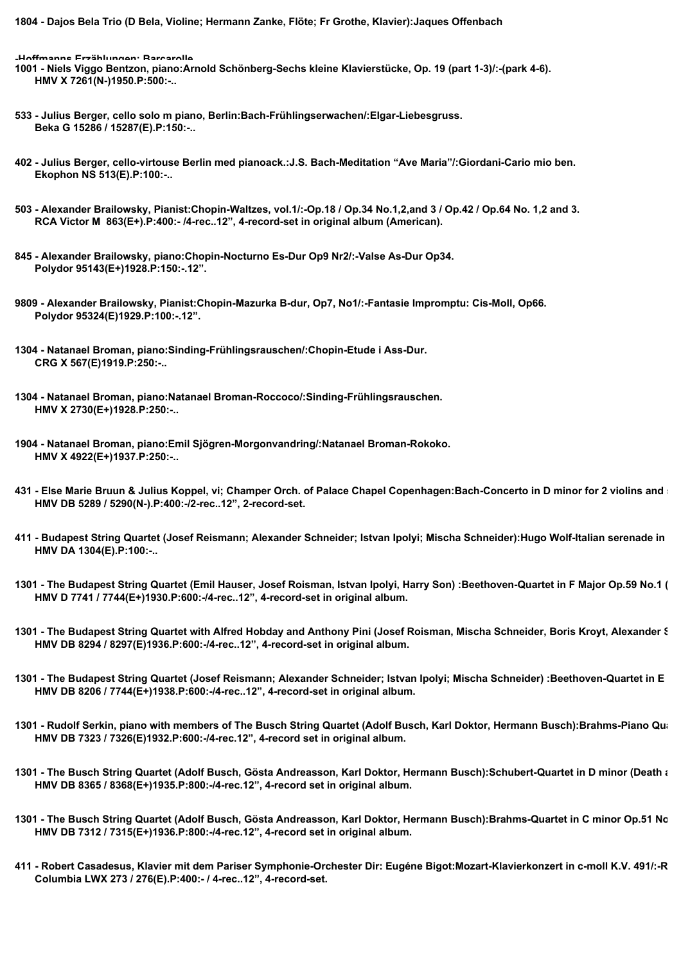**1804 - Dajos Bela Trio (D Bela, Violine; Hermann Zanke, Flöte; Fr Grothe, Klavier):Jaques Offenbach**

**-Hoffmanns Erzählungen: Barcarolle**

- **1001 Niels Viggo Bentzon, piano:Arnold Schönberg-Sechs kleine Klavierstücke, Op. 19 (part 1-3)/:-(park 4-6). HMV X 7261(N-)1950.P:500:-..**
- **533 Julius Berger, cello solo m piano, Berlin:Bach-Frühlingserwachen/:Elgar-Liebesgruss. Beka G 15286 / 15287(E).P:150:-..**
- **402 Julius Berger, cello-virtouse Berlin med pianoack.:J.S. Bach-Meditation "Ave Maria"/:Giordani-Cario mio ben. Ekophon NS 513(E).P:100:-..**
- **503 Alexander Brailowsky, Pianist:Chopin-Waltzes, vol.1/:-Op.18 / Op.34 No.1,2,and 3 / Op.42 / Op.64 No. 1,2 and 3. RCA Victor M 863(E+).P:400:- /4-rec..12", 4-record-set in original album (American).**
- **845 Alexander Brailowsky, piano:Chopin-Nocturno Es-Dur Op9 Nr2/:-Valse As-Dur Op34. Polydor 95143(E+)1928.P:150:-.12".**
- **9809 Alexander Brailowsky, Pianist:Chopin-Mazurka B-dur, Op7, No1/:-Fantasie Impromptu: Cis-Moll, Op66. Polydor 95324(E)1929.P:100:-.12".**

- **1304 Natanael Broman, piano:Natanael Broman-Roccoco/:Sinding-Frühlingsrauschen. HMV X 2730(E+)1928.P:250:-..**
- **1904 Natanael Broman, piano:Emil Sjögren-Morgonvandring/:Natanael Broman-Rokoko. HMV X 4922(E+)1937.P:250:-..**
- **431 Else Marie Bruun & Julius Koppel, vi; Champer Orch. of Palace Chapel Copenhagen:Bach-Concerto in D minor for 2 violins and string orchestra/:-. HMV DB 5289 / 5290(N-).P:400:-/2-rec..12", 2-record-set.**
- **411 Budapest String Quartet (Josef Reismann; Alexander Schneider; Istvan Ipolyi; Mischa Schneider):Hugo Wolf-Italian serenade in G Major/:-conclusion. HMV DA 1304(E).P:100:-..**
- 1301 The Budapest String Quartet (Emil Hauser, Josef Roisman, Istvan Ipolyi, Harry Son) :Beethoven-Quartet in F Major Op.59 No.1 (  **HMV D 7741 / 7744(E+)1930.P:600:-/4-rec..12", 4-record-set in original album.**
- 1301 The Budapest String Quartet with Alfred Hobday and Anthony Pini (Josef Roisman, Mischa Schneider, Boris Kroyt, Alexander **S HMV DB 8294 / 8297(E)1936.P:600:-/4-rec..12", 4-record-set in original album.**
- 1301 The Budapest String Quartet (Josef Reismann; Alexander Schneider; Istvan Ipolyi; Mischa Schneider) :Beethoven-Quartet in E  **HMV DB 8206 / 7744(E+)1938.P:600:-/4-rec..12", 4-record-set in original album.**
- 1301 Rudolf Serkin, piano with members of The Busch String Quartet (Adolf Busch, Karl Doktor, Hermann Busch):Brahms-Piano Qua  **HMV DB 7323 / 7326(E)1932.P:600:-/4-rec.12", 4-record set in original album.**
- 1301 The Busch String Quartet (Adolf Busch, Gösta Andreasson, Karl Doktor, Hermann Busch):Schubert-Quartet in D minor (Death and the maiden)  **HMV DB 8365 / 8368(E+)1935.P:800:-/4-rec.12", 4-record set in original album.**
- 1301 The Busch String Quartet (Adolf Busch, Gösta Andreasson, Karl Doktor, Hermann Busch):Brahms-Quartet in C minor Op.51 No.  **HMV DB 7312 / 7315(E+)1936.P:800:-/4-rec.12", 4-record set in original album.**
- 411 Robert Casadesus, Klavier mit dem Pariser Symphonie-Orchester Dir: Eugéne Bigot:Mozart-Klavierkonzert in c-moll K.V. 491/:-R  **Columbia LWX 273 / 276(E).P:400:- / 4-rec..12", 4-record-set.**

**<sup>1304 -</sup> Natanael Broman, piano:Sinding-Frühlingsrauschen/:Chopin-Etude i Ass-Dur. CRG X 567(E)1919.P:250:-..**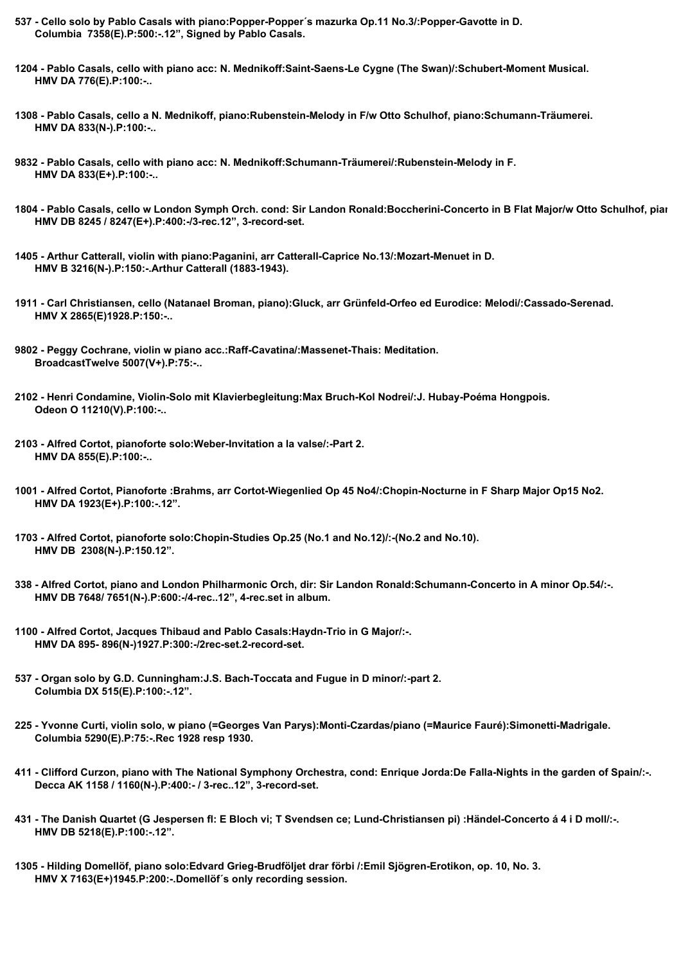- **537 Cello solo by Pablo Casals with piano:Popper-Popper´s mazurka Op.11 No.3/:Popper-Gavotte in D. Columbia 7358(E).P:500:-.12", Signed by Pablo Casals.**
- **1204 Pablo Casals, cello with piano acc: N. Mednikoff:Saint-Saens-Le Cygne (The Swan)/:Schubert-Moment Musical. HMV DA 776(E).P:100:-..**
- **1308 Pablo Casals, cello a N. Mednikoff, piano:Rubenstein-Melody in F/w Otto Schulhof, piano:Schumann-Träumerei. HMV DA 833(N-).P:100:-..**
- **9832 Pablo Casals, cello with piano acc: N. Mednikoff:Schumann-Träumerei/:Rubenstein-Melody in F. HMV DA 833(E+).P:100:-..**
- 1804 Pablo Casals, cello w London Symph Orch. cond: Sir Landon Ronald:Boccherini-Concerto in B Flat Major/w Otto Schulhof, pian  **HMV DB 8245 / 8247(E+).P:400:-/3-rec.12", 3-record-set.**
- **1405 Arthur Catterall, violin with piano:Paganini, arr Catterall-Caprice No.13/:Mozart-Menuet in D. HMV B 3216(N-).P:150:-.Arthur Catterall (1883-1943).**
- **1911 Carl Christiansen, cello (Natanael Broman, piano):Gluck, arr Grünfeld-Orfeo ed Eurodice: Melodi/:Cassado-Serenad. HMV X 2865(E)1928.P:150:-..**

- **2102 Henri Condamine, Violin-Solo mit Klavierbegleitung:Max Bruch-Kol Nodrei/:J. Hubay-Poéma Hongpois. Odeon O 11210(V).P:100:-..**
- **2103 Alfred Cortot, pianoforte solo:Weber-Invitation a la valse/:-Part 2. HMV DA 855(E).P:100:-..**
- **1001 Alfred Cortot, Pianoforte :Brahms, arr Cortot-Wiegenlied Op 45 No4/:Chopin-Nocturne in F Sharp Major Op15 No2. HMV DA 1923(E+).P:100:-.12".**
- **1703 Alfred Cortot, pianoforte solo:Chopin-Studies Op.25 (No.1 and No.12)/:-(No.2 and No.10). HMV DB 2308(N-).P:150.12".**
- **338 Alfred Cortot, piano and London Philharmonic Orch, dir: Sir Landon Ronald:Schumann-Concerto in A minor Op.54/:-. HMV DB 7648/ 7651(N-).P:600:-/4-rec..12", 4-rec.set in album.**
- **1100 Alfred Cortot, Jacques Thibaud and Pablo Casals:Haydn-Trio in G Major/:-. HMV DA 895- 896(N-)1927.P:300:-/2rec-set.2-record-set.**
- **537 Organ solo by G.D. Cunningham:J.S. Bach-Toccata and Fugue in D minor/:-part 2. Columbia DX 515(E).P:100:-.12".**
- **225 Yvonne Curti, violin solo, w piano (=Georges Van Parys):Monti-Czardas/piano (=Maurice Fauré):Simonetti-Madrigale. Columbia 5290(E).P:75:-.Rec 1928 resp 1930.**
- **411 Clifford Curzon, piano with The National Symphony Orchestra, cond: Enrique Jorda:De Falla-Nights in the garden of Spain/:-. Decca AK 1158 / 1160(N-).P:400:- / 3-rec..12", 3-record-set.**
- **431 The Danish Quartet (G Jespersen fl: E Bloch vi; T Svendsen ce; Lund-Christiansen pi) :Händel-Concerto á 4 i D moll/:-. HMV DB 5218(E).P:100:-.12".**
- **1305 Hilding Domellöf, piano solo:Edvard Grieg-Brudföljet drar förbi /:Emil Sjögren-Erotikon, op. 10, No. 3. HMV X 7163(E+)1945.P:200:-.Domellöf´s only recording session.**

**<sup>9802 -</sup> Peggy Cochrane, violin w piano acc.:Raff-Cavatina/:Massenet-Thais: Meditation. BroadcastTwelve 5007(V+).P:75:-..**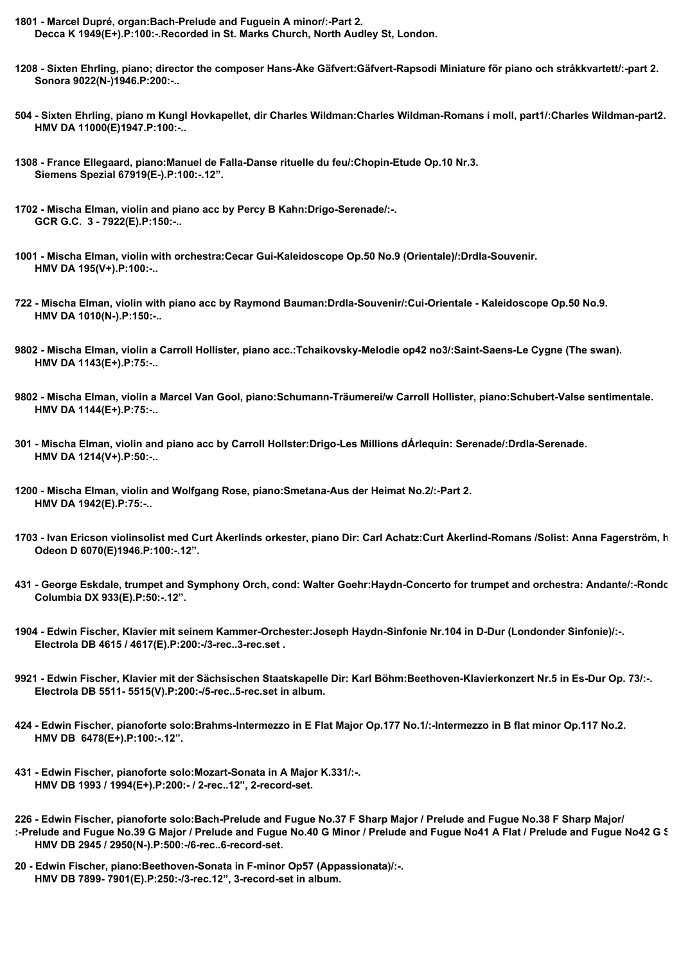- **1801 Marcel Dupré, organ:Bach-Prelude and Fuguein A minor/:-Part 2. Decca K 1949(E+).P:100:-.Recorded in St. Marks Church, North Audley St, London.**
- **1208 Sixten Ehrling, piano; director the composer Hans-Åke Gäfvert:Gäfvert-Rapsodi Miniature för piano och stråkkvartett/:-part 2. Sonora 9022(N-)1946.P:200:-..**
- **504 Sixten Ehrling, piano m Kungl Hovkapellet, dir Charles Wildman:Charles Wildman-Romans i moll, part1/:Charles Wildman-part2. HMV DA 11000(E)1947.P:100:-..**
- **1308 France Ellegaard, piano:Manuel de Falla-Danse rituelle du feu/:Chopin-Etude Op.10 Nr.3. Siemens Spezial 67919(E-).P:100:-.12".**
- **1702 Mischa Elman, violin and piano acc by Percy B Kahn:Drigo-Serenade/:-. GCR G.C. 3 - 7922(E).P:150:-..**
- **1001 Mischa Elman, violin with orchestra:Cecar Gui-Kaleidoscope Op.50 No.9 (Orientale)/:Drdla-Souvenir. HMV DA 195(V+).P:100:-..**
- **722 Mischa Elman, violin with piano acc by Raymond Bauman:Drdla-Souvenir/:Cui-Orientale Kaleidoscope Op.50 No.9. HMV DA 1010(N-).P:150:-..**
- **9802 Mischa Elman, violin a Carroll Hollister, piano acc.:Tchaikovsky-Melodie op42 no3/:Saint-Saens-Le Cygne (The swan). HMV DA 1143(E+).P:75:-..**
- **9802 Mischa Elman, violin a Marcel Van Gool, piano:Schumann-Träumerei/w Carroll Hollister, piano:Schubert-Valse sentimentale. HMV DA 1144(E+).P:75:-..**
- **301 Mischa Elman, violin and piano acc by Carroll Hollster:Drigo-Les Millions dÁrlequin: Serenade/:Drdla-Serenade. HMV DA 1214(V+).P:50:-..**
- **1200 Mischa Elman, violin and Wolfgang Rose, piano:Smetana-Aus der Heimat No.2/:-Part 2. HMV DA 1942(E).P:75:-..**
- 1703 Ivan Ericson violinsolist med Curt Åkerlinds orkester, piano Dir: Carl Achatz:Curt Åkerlind-Romans /Solist: Anna Fagerström, h  **Odeon D 6070(E)1946.P:100:-.12".**
- **431 George Eskdale, trumpet and Symphony Orch, cond: Walter Goehr:Haydn-Concerto for trumpet and orchestra: Andante/:-Rondo. Columbia DX 933(E).P:50:-.12".**
- **1904 Edwin Fischer, Klavier mit seinem Kammer-Orchester:Joseph Haydn-Sinfonie Nr.104 in D-Dur (Londonder Sinfonie)/:-. Electrola DB 4615 / 4617(E).P:200:-/3-rec..3-rec.set .**
- **9921 Edwin Fischer, Klavier mit der Sächsischen Staatskapelle Dir: Karl Böhm:Beethoven-Klavierkonzert Nr.5 in Es-Dur Op. 73/:-. Electrola DB 5511- 5515(V).P:200:-/5-rec..5-rec.set in album.**
- **424 Edwin Fischer, pianoforte solo:Brahms-Intermezzo in E Flat Major Op.177 No.1/:-Intermezzo in B flat minor Op.117 No.2. HMV DB 6478(E+).P:100:-.12".**
- **431 Edwin Fischer, pianoforte solo:Mozart-Sonata in A Major K.331/:-. HMV DB 1993 / 1994(E+).P:200:- / 2-rec..12", 2-record-set.**

**226 - Edwin Fischer, pianoforte solo:Bach-Prelude and Fugue No.37 F Sharp Major / Prelude and Fugue No.38 F Sharp Major/** :-Prelude and Fugue No.39 G Major / Prelude and Fugue No.40 G Minor / Prelude and Fugue No41 A Flat / Prelude and Fugue No42 G S  **HMV DB 2945 / 2950(N-).P:500:-/6-rec..6-record-set.**

**20 - Edwin Fischer, piano:Beethoven-Sonata in F-minor Op57 (Appassionata)/:-. HMV DB 7899- 7901(E).P:250:-/3-rec.12", 3-record-set in album.**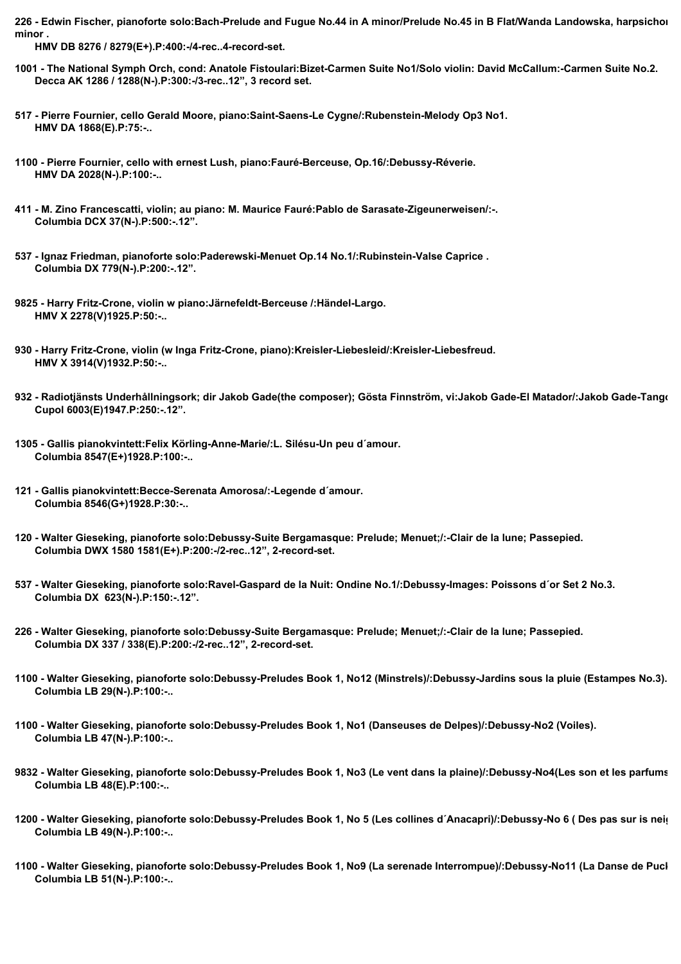226 - Edwin Fischer, pianoforte solo:Bach-Prelude and Fugue No.44 in A minor/Prelude No.45 in B Flat/Wanda Landowska, harpsichor **minor .**

 **HMV DB 8276 / 8279(E+).P:400:-/4-rec..4-record-set.**

- **1001 The National Symph Orch, cond: Anatole Fistoulari:Bizet-Carmen Suite No1/Solo violin: David McCallum:-Carmen Suite No.2. Decca AK 1286 / 1288(N-).P:300:-/3-rec..12", 3 record set.**
- **517 Pierre Fournier, cello Gerald Moore, piano:Saint-Saens-Le Cygne/:Rubenstein-Melody Op3 No1. HMV DA 1868(E).P:75:-..**
- **1100 Pierre Fournier, cello with ernest Lush, piano:Fauré-Berceuse, Op.16/:Debussy-Réverie. HMV DA 2028(N-).P:100:-..**
- **411 M. Zino Francescatti, violin; au piano: M. Maurice Fauré:Pablo de Sarasate-Zigeunerweisen/:-. Columbia DCX 37(N-).P:500:-.12".**
- **537 Ignaz Friedman, pianoforte solo:Paderewski-Menuet Op.14 No.1/:Rubinstein-Valse Caprice . Columbia DX 779(N-).P:200:-.12".**
- **9825 Harry Fritz-Crone, violin w piano:Järnefeldt-Berceuse /:Händel-Largo. HMV X 2278(V)1925.P:50:-..**
- **930 Harry Fritz-Crone, violin (w Inga Fritz-Crone, piano):Kreisler-Liebesleid/:Kreisler-Liebesfreud. HMV X 3914(V)1932.P:50:-..**
- 932 Radiotjänsts Underhållningsork; dir Jakob Gade(the composer); Gösta Finnström, vi:Jakob Gade-El Matador/:Jakob Gade-Tango  **Cupol 6003(E)1947.P:250:-.12".**
- **1305 Gallis pianokvintett:Felix Körling-Anne-Marie/:L. Silésu-Un peu d´amour. Columbia 8547(E+)1928.P:100:-..**
- **121 Gallis pianokvintett:Becce-Serenata Amorosa/:-Legende d´amour. Columbia 8546(G+)1928.P:30:-..**
- **120 Walter Gieseking, pianoforte solo:Debussy-Suite Bergamasque: Prelude; Menuet;/:-Clair de la lune; Passepied. Columbia DWX 1580 1581(E+).P:200:-/2-rec..12", 2-record-set.**
- **537 Walter Gieseking, pianoforte solo:Ravel-Gaspard de la Nuit: Ondine No.1/:Debussy-Images: Poissons d´or Set 2 No.3. Columbia DX 623(N-).P:150:-.12".**
- **226 Walter Gieseking, pianoforte solo:Debussy-Suite Bergamasque: Prelude; Menuet;/:-Clair de la lune; Passepied. Columbia DX 337 / 338(E).P:200:-/2-rec..12", 2-record-set.**
- **1100 Walter Gieseking, pianoforte solo:Debussy-Preludes Book 1, No12 (Minstrels)/:Debussy-Jardins sous la pluie (Estampes No.3). Columbia LB 29(N-).P:100:-..**
- **1100 Walter Gieseking, pianoforte solo:Debussy-Preludes Book 1, No1 (Danseuses de Delpes)/:Debussy-No2 (Voiles). Columbia LB 47(N-).P:100:-..**
- 9832 Walter Gieseking, pianoforte solo:Debussy-Preludes Book 1, No3 (Le vent dans la plaine)/:Debussy-No4(Les son et les parfums  **Columbia LB 48(E).P:100:-..**
- **1200 Walter Gieseking, pianoforte solo:Debussy-Preludes Book 1, No 5 (Les collines d´Anacapri)/:Debussy-No 6 ( Des pas sur is neige). Columbia LB 49(N-).P:100:-..**
- **1100 Walter Gieseking, pianoforte solo:Debussy-Preludes Book 1, No9 (La serenade Interrompue)/:Debussy-No11 (La Danse de Puck). Columbia LB 51(N-).P:100:-..**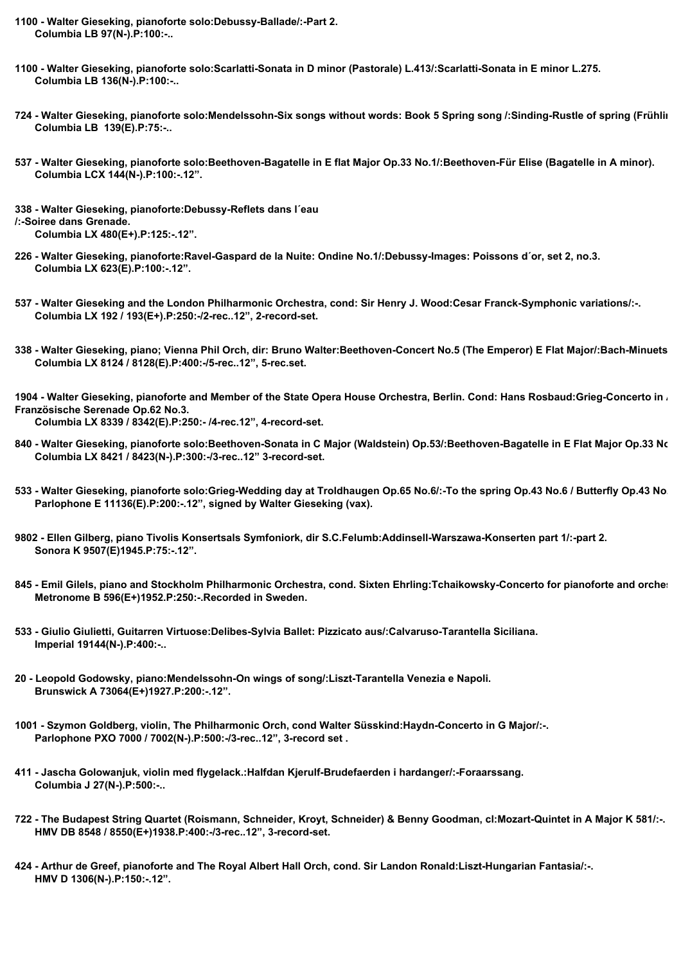- **1100 Walter Gieseking, pianoforte solo:Debussy-Ballade/:-Part 2. Columbia LB 97(N-).P:100:-..**
- **1100 Walter Gieseking, pianoforte solo:Scarlatti-Sonata in D minor (Pastorale) L.413/:Scarlatti-Sonata in E minor L.275. Columbia LB 136(N-).P:100:-..**
- **724 Walter Gieseking, pianoforte solo:Mendelssohn-Six songs without words: Book 5 Spring song /:Sinding-Rustle of spring (Frühlingsrauschen). Columbia LB 139(E).P:75:-..**
- **537 Walter Gieseking, pianoforte solo:Beethoven-Bagatelle in E flat Major Op.33 No.1/:Beethoven-Für Elise (Bagatelle in A minor). Columbia LCX 144(N-).P:100:-.12".**

**338 - Walter Gieseking, pianoforte:Debussy-Reflets dans l´eau /:-Soiree dans Grenade. Columbia LX 480(E+).P:125:-.12".**

- **226 Walter Gieseking, pianoforte:Ravel-Gaspard de la Nuite: Ondine No.1/:Debussy-Images: Poissons d´or, set 2, no.3. Columbia LX 623(E).P:100:-.12".**
- **537 Walter Gieseking and the London Philharmonic Orchestra, cond: Sir Henry J. Wood:Cesar Franck-Symphonic variations/:-. Columbia LX 192 / 193(E+).P:250:-/2-rec..12", 2-record-set.**
- **338 Walter Gieseking, piano; Vienna Phil Orch, dir: Bruno Walter:Beethoven-Concert No.5 (The Emperor) E Flat Major/:Bach-Minuets 1 and 2 and Gigue. Columbia LX 8124 / 8128(E).P:400:-/5-rec..12", 5-rec.set.**

1904 - Walter Gieseking, pianoforte and Member of the State Opera House Orchestra, Berlin. Cond: Hans Rosbaud:Grieg-Concerto in . **Französische Serenade Op.62 No.3. Columbia LX 8339 / 8342(E).P:250:- /4-rec.12", 4-record-set.**

- 840 Walter Gieseking, pianoforte solo:Beethoven-Sonata in C Major (Waldstein) Op.53/:Beethoven-Bagatelle in E Flat Major Op.33 No.  **Columbia LX 8421 / 8423(N-).P:300:-/3-rec..12" 3-record-set.**
- **533 Walter Gieseking, pianoforte solo:Grieg-Wedding day at Troldhaugen Op.65 No.6/:-To the spring Op.43 No.6 / Butterfly Op.43 No.1. Parlophone E 11136(E).P:200:-.12", signed by Walter Gieseking (vax).**
- **9802 Ellen Gilberg, piano Tivolis Konsertsals Symfoniork, dir S.C.Felumb:Addinsell-Warszawa-Konserten part 1/:-part 2. Sonora K 9507(E)1945.P:75:-.12".**
- 845 Emil Gilels, piano and Stockholm Philharmonic Orchestra, cond. Sixten Ehrling:Tchaikowsky-Concerto for pianoforte and orche:  **Metronome B 596(E+)1952.P:250:-.Recorded in Sweden.**
- **533 Giulio Giulietti, Guitarren Virtuose:Delibes-Sylvia Ballet: Pizzicato aus/:Calvaruso-Tarantella Siciliana. Imperial 19144(N-).P:400:-..**
- **20 Leopold Godowsky, piano:Mendelssohn-On wings of song/:Liszt-Tarantella Venezia e Napoli. Brunswick A 73064(E+)1927.P:200:-.12".**
- **1001 Szymon Goldberg, violin, The Philharmonic Orch, cond Walter Süsskind:Haydn-Concerto in G Major/:-. Parlophone PXO 7000 / 7002(N-).P:500:-/3-rec..12", 3-record set .**
- **411 Jascha Golowanjuk, violin med flygelack.:Halfdan Kjerulf-Brudefaerden i hardanger/:-Foraarssang. Columbia J 27(N-).P:500:-..**
- **722 The Budapest String Quartet (Roismann, Schneider, Kroyt, Schneider) & Benny Goodman, cl:Mozart-Quintet in A Major K 581/:-. HMV DB 8548 / 8550(E+)1938.P:400:-/3-rec..12", 3-record-set.**
- **424 Arthur de Greef, pianoforte and The Royal Albert Hall Orch, cond. Sir Landon Ronald:Liszt-Hungarian Fantasia/:-. HMV D 1306(N-).P:150:-.12".**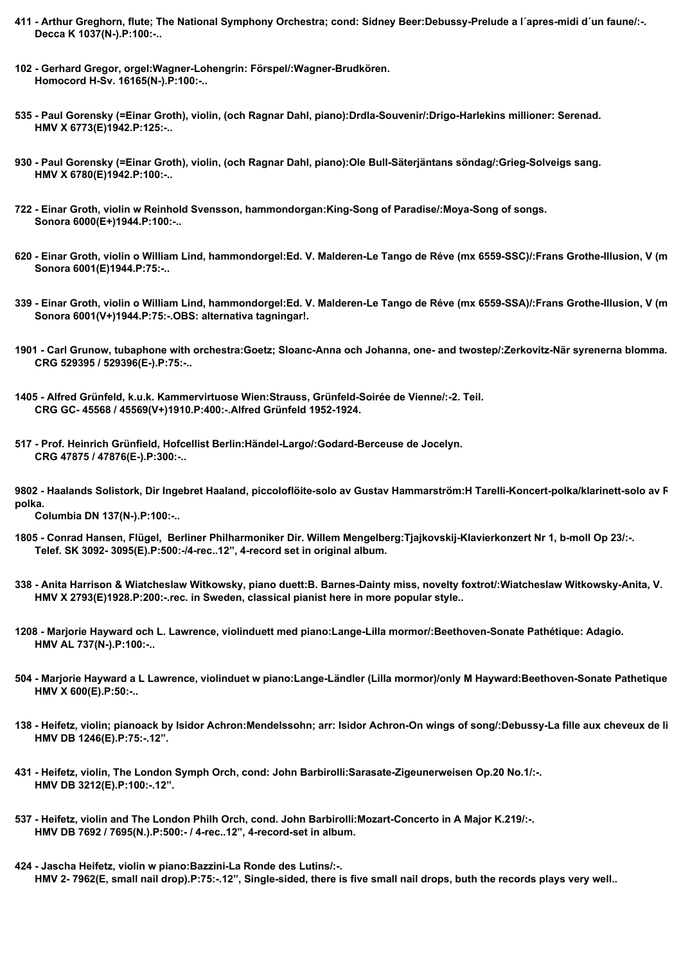- **411 Arthur Greghorn, flute; The National Symphony Orchestra; cond: Sidney Beer:Debussy-Prelude a l´apres-midi d´un faune/:-. Decca K 1037(N-).P:100:-..**
- **102 Gerhard Gregor, orgel:Wagner-Lohengrin: Förspel/:Wagner-Brudkören. Homocord H-Sv. 16165(N-).P:100:-..**
- **535 Paul Gorensky (=Einar Groth), violin, (och Ragnar Dahl, piano):Drdla-Souvenir/:Drigo-Harlekins millioner: Serenad. HMV X 6773(E)1942.P:125:-..**
- **930 Paul Gorensky (=Einar Groth), violin, (och Ragnar Dahl, piano):Ole Bull-Säterjäntans söndag/:Grieg-Solveigs sang. HMV X 6780(E)1942.P:100:-..**
- **722 Einar Groth, violin w Reinhold Svensson, hammondorgan:King-Song of Paradise/:Moya-Song of songs. Sonora 6000(E+)1944.P:100:-..**
- **620 Einar Groth, violin o William Lind, hammondorgel:Ed. V. Malderen-Le Tango de Réve (mx 6559-SSC)/:Frans Grothe-Illusion, V (mx 6560-SSC). Sonora 6001(E)1944.P:75:-..**
- **339 Einar Groth, violin o William Lind, hammondorgel:Ed. V. Malderen-Le Tango de Réve (mx 6559-SSA)/:Frans Grothe-Illusion, V (mx 6560-SSA). Sonora 6001(V+)1944.P:75:-.OBS: alternativa tagningar!.**
- **1901 Carl Grunow, tubaphone with orchestra:Goetz; Sloanc-Anna och Johanna, one- and twostep/:Zerkovitz-När syrenerna blomma. CRG 529395 / 529396(E-).P:75:-..**
- **1405 Alfred Grünfeld, k.u.k. Kammervirtuose Wien:Strauss, Grünfeld-Soirée de Vienne/:-2. Teil. CRG GC- 45568 / 45569(V+)1910.P:400:-.Alfred Grünfeld 1952-1924.**
- **517 Prof. Heinrich Grünfield, Hofcellist Berlin:Händel-Largo/:Godard-Berceuse de Jocelyn. CRG 47875 / 47876(E-).P:300:-..**
- 9802 Haalands Solistork, Dir Ingebret Haaland, piccoloflöite-solo av Gustav Hammarström:H Tarelli-Koncert-polka/klarinett-solo av F **polka.**

 **Columbia DN 137(N-).P:100:-..**

- **1805 Conrad Hansen, Flügel, Berliner Philharmoniker Dir. Willem Mengelberg:Tjajkovskij-Klavierkonzert Nr 1, b-moll Op 23/:-. Telef. SK 3092- 3095(E).P:500:-/4-rec..12", 4-record set in original album.**
- **338 Anita Harrison & Wiatcheslaw Witkowsky, piano duett:B. Barnes-Dainty miss, novelty foxtrot/:Wiatcheslaw Witkowsky-Anita, V. HMV X 2793(E)1928.P:200:-.rec. in Sweden, classical pianist here in more popular style..**
- **1208 Marjorie Hayward och L. Lawrence, violinduett med piano:Lange-Lilla mormor/:Beethoven-Sonate Pathétique: Adagio. HMV AL 737(N-).P:100:-..**
- **504 Marjorie Hayward a L Lawrence, violinduet w piano:Lange-Ländler (Lilla mormor)/only M Hayward:Beethoven-Sonate Pathetique: Adagio. HMV X 600(E).P:50:-..**
- 138 Heifetz, violin; pianoack by Isidor Achron:Mendelssohn; arr: Isidor Achron-On wings of song/:Debussy-La fille aux cheveux de li  **HMV DB 1246(E).P:75:-.12".**
- **431 Heifetz, violin, The London Symph Orch, cond: John Barbirolli:Sarasate-Zigeunerweisen Op.20 No.1/:-. HMV DB 3212(E).P:100:-.12".**
- **537 Heifetz, violin and The London Philh Orch, cond. John Barbirolli:Mozart-Concerto in A Major K.219/:-. HMV DB 7692 / 7695(N.).P:500:- / 4-rec..12", 4-record-set in album.**
- **424 Jascha Heifetz, violin w piano:Bazzini-La Ronde des Lutins/:-. HMV 2- 7962(E, small nail drop).P:75:-.12", Single-sided, there is five small nail drops, buth the records plays very well..**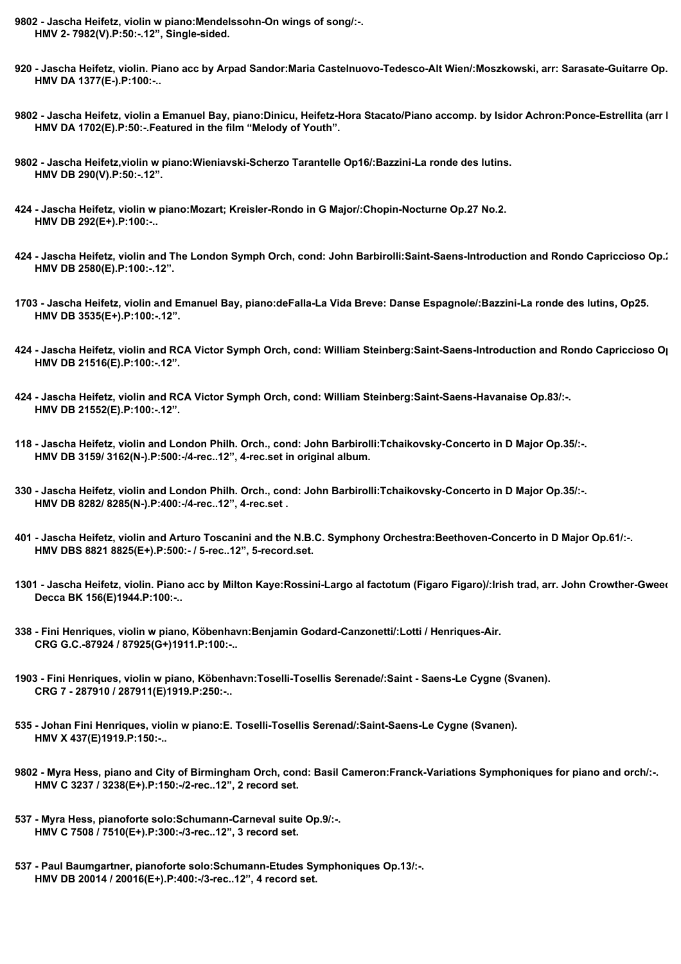- **9802 Jascha Heifetz, violin w piano:Mendelssohn-On wings of song/:-. HMV 2- 7982(V).P:50:-.12", Single-sided.**
- **920 Jascha Heifetz, violin. Piano acc by Arpad Sandor:Maria Castelnuovo-Tedesco-Alt Wien/:Moszkowski, arr: Sarasate-Guitarre Op.45 No.2. HMV DA 1377(E-).P:100:-..**
- **9802 Jascha Heifetz, violin a Emanuel Bay, piano:Dinicu, Heifetz-Hora Stacato/Piano accomp. by Isidor Achron:Ponce-Estrellita (arr Heifetz). HMV DA 1702(E).P:50:-.Featured in the film "Melody of Youth".**
- **9802 Jascha Heifetz,violin w piano:Wieniavski-Scherzo Tarantelle Op16/:Bazzini-La ronde des lutins. HMV DB 290(V).P:50:-.12".**
- **424 Jascha Heifetz, violin w piano:Mozart; Kreisler-Rondo in G Major/:Chopin-Nocturne Op.27 No.2. HMV DB 292(E+).P:100:-..**
- 424 Jascha Heifetz, violin and The London Symph Orch, cond: John Barbirolli:Saint-Saens-Introduction and Rondo Capriccioso Op.<sup>1</sup>  **HMV DB 2580(E).P:100:-.12".**
- **1703 Jascha Heifetz, violin and Emanuel Bay, piano:deFalla-La Vida Breve: Danse Espagnole/:Bazzini-La ronde des lutins, Op25. HMV DB 3535(E+).P:100:-.12".**
- **424 Jascha Heifetz, violin and RCA Victor Symph Orch, cond: William Steinberg:Saint-Saens-Introduction and Rondo Capriccioso Op.20/:-. HMV DB 21516(E).P:100:-.12".**
- **424 Jascha Heifetz, violin and RCA Victor Symph Orch, cond: William Steinberg:Saint-Saens-Havanaise Op.83/:-. HMV DB 21552(E).P:100:-.12".**
- **118 Jascha Heifetz, violin and London Philh. Orch., cond: John Barbirolli:Tchaikovsky-Concerto in D Major Op.35/:-. HMV DB 3159/ 3162(N-).P:500:-/4-rec..12", 4-rec.set in original album.**
- **330 Jascha Heifetz, violin and London Philh. Orch., cond: John Barbirolli:Tchaikovsky-Concerto in D Major Op.35/:-. HMV DB 8282/ 8285(N-).P:400:-/4-rec..12", 4-rec.set .**
- **401 Jascha Heifetz, violin and Arturo Toscanini and the N.B.C. Symphony Orchestra:Beethoven-Concerto in D Major Op.61/:-. HMV DBS 8821 8825(E+).P:500:- / 5-rec..12", 5-record.set.**
- 1301 Jascha Heifetz, violin. Piano acc by Milton Kaye:Rossini-Largo al factotum (Figaro Figaro)/:Irish trad, arr. John Crowther-Gweed  **Decca BK 156(E)1944.P:100:-..**
- **338 Fini Henriques, violin w piano, Köbenhavn:Benjamin Godard-Canzonetti/:Lotti / Henriques-Air. CRG G.C.-87924 / 87925(G+)1911.P:100:-..**
- **1903 Fini Henriques, violin w piano, Köbenhavn:Toselli-Tosellis Serenade/:Saint Saens-Le Cygne (Svanen). CRG 7 - 287910 / 287911(E)1919.P:250:-..**
- **535 Johan Fini Henriques, violin w piano:E. Toselli-Tosellis Serenad/:Saint-Saens-Le Cygne (Svanen). HMV X 437(E)1919.P:150:-..**
- **9802 Myra Hess, piano and City of Birmingham Orch, cond: Basil Cameron:Franck-Variations Symphoniques for piano and orch/:-. HMV C 3237 / 3238(E+).P:150:-/2-rec..12", 2 record set.**
- **537 Myra Hess, pianoforte solo:Schumann-Carneval suite Op.9/:-. HMV C 7508 / 7510(E+).P:300:-/3-rec..12", 3 record set.**
- **537 Paul Baumgartner, pianoforte solo:Schumann-Etudes Symphoniques Op.13/:-. HMV DB 20014 / 20016(E+).P:400:-/3-rec..12", 4 record set.**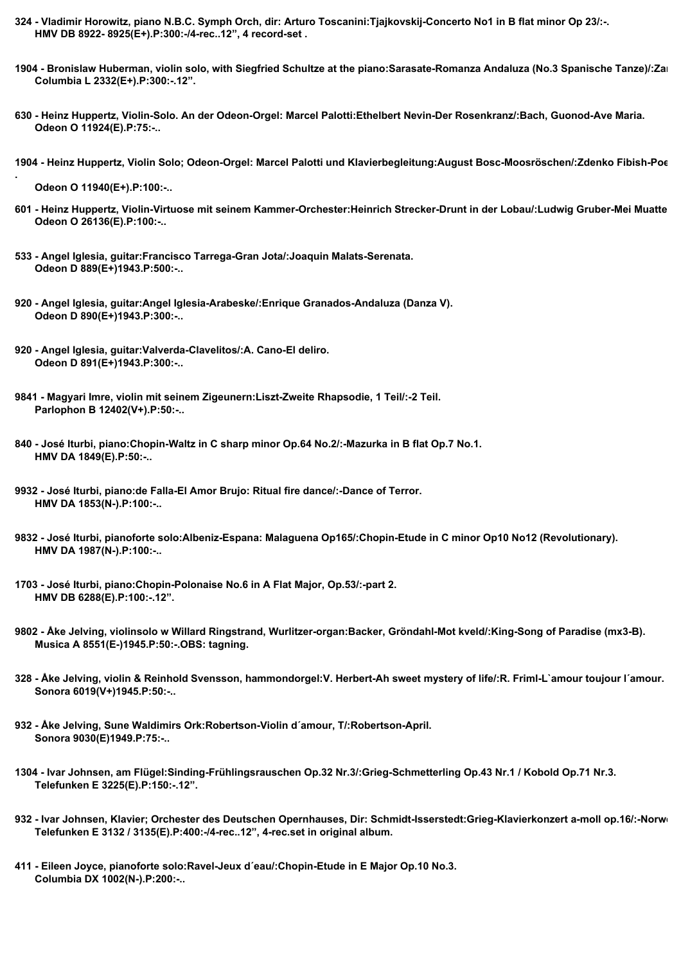- **324 Vladimir Horowitz, piano N.B.C. Symph Orch, dir: Arturo Toscanini:Tjajkovskij-Concerto No1 in B flat minor Op 23/:-. HMV DB 8922- 8925(E+).P:300:-/4-rec..12", 4 record-set .**
- 1904 Bronislaw Huberman, violin solo, with Siegfried Schultze at the piano:Sarasate-Romanza Andaluza (No.3 Spanische Tanze)/:Za  **Columbia L 2332(E+).P:300:-.12".**
- **630 Heinz Huppertz, Violin-Solo. An der Odeon-Orgel: Marcel Palotti:Ethelbert Nevin-Der Rosenkranz/:Bach, Guonod-Ave Maria. Odeon O 11924(E).P:75:-..**
- **1904 Heinz Huppertz, Violin Solo; Odeon-Orgel: Marcel Palotti und Klavierbegleitung:August Bosc-Moosröschen/:Zdenko Fibish-Poeme**

 **Odeon O 11940(E+).P:100:-..**

**.**

- 601 Heinz Huppertz, Violin-Virtuose mit seinem Kammer-Orchester:Heinrich Strecker-Drunt in der Lobau/:Ludwig Gruber-Mei Muatte  **Odeon O 26136(E).P:100:-..**
- **533 Angel Iglesia, guitar:Francisco Tarrega-Gran Jota/:Joaquin Malats-Serenata. Odeon D 889(E+)1943.P:500:-..**
- **920 Angel Iglesia, guitar:Angel Iglesia-Arabeske/:Enrique Granados-Andaluza (Danza V). Odeon D 890(E+)1943.P:300:-..**
- **920 Angel Iglesia, guitar:Valverda-Clavelitos/:A. Cano-El deliro. Odeon D 891(E+)1943.P:300:-..**
- **9841 Magyari Imre, violin mit seinem Zigeunern:Liszt-Zweite Rhapsodie, 1 Teil/:-2 Teil. Parlophon B 12402(V+).P:50:-..**
- **840 José Iturbi, piano:Chopin-Waltz in C sharp minor Op.64 No.2/:-Mazurka in B flat Op.7 No.1. HMV DA 1849(E).P:50:-..**
- **9932 José Iturbi, piano:de Falla-El Amor Brujo: Ritual fire dance/:-Dance of Terror. HMV DA 1853(N-).P:100:-..**
- **9832 José Iturbi, pianoforte solo:Albeniz-Espana: Malaguena Op165/:Chopin-Etude in C minor Op10 No12 (Revolutionary). HMV DA 1987(N-).P:100:-..**
- **1703 José Iturbi, piano:Chopin-Polonaise No.6 in A Flat Major, Op.53/:-part 2. HMV DB 6288(E).P:100:-.12".**
- **9802 Åke Jelving, violinsolo w Willard Ringstrand, Wurlitzer-organ:Backer, Gröndahl-Mot kveld/:King-Song of Paradise (mx3-B). Musica A 8551(E-)1945.P:50:-.OBS: tagning.**
- **328 Åke Jelving, violin & Reinhold Svensson, hammondorgel:V. Herbert-Ah sweet mystery of life/:R. Friml-L`amour toujour l´amour. Sonora 6019(V+)1945.P:50:-..**
- **932 Åke Jelving, Sune Waldimirs Ork:Robertson-Violin d´amour, T/:Robertson-April. Sonora 9030(E)1949.P:75:-..**
- **1304 Ivar Johnsen, am Flügel:Sinding-Frühlingsrauschen Op.32 Nr.3/:Grieg-Schmetterling Op.43 Nr.1 / Kobold Op.71 Nr.3. Telefunken E 3225(E).P:150:-.12".**
- 932 Ivar Johnsen, Klavier; Orchester des Deutschen Opernhauses, Dir: Schmidt-Isserstedt:Grieg-Klavierkonzert a-moll op.16/:-Norw  **Telefunken E 3132 / 3135(E).P:400:-/4-rec..12", 4-rec.set in original album.**
- **411 Eileen Joyce, pianoforte solo:Ravel-Jeux d´eau/:Chopin-Etude in E Major Op.10 No.3. Columbia DX 1002(N-).P:200:-..**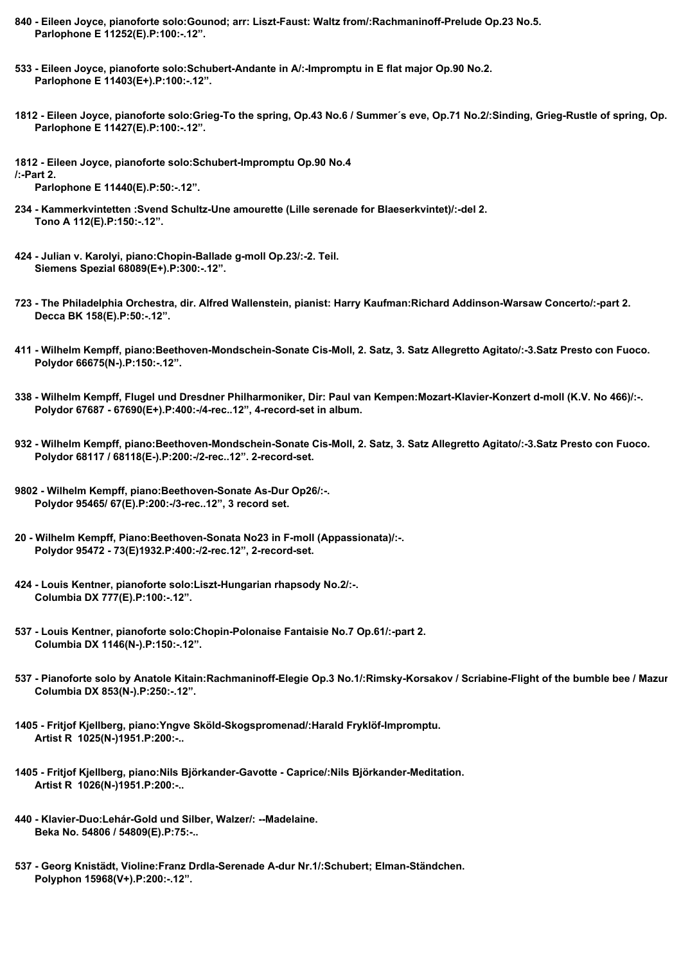- **840 Eileen Joyce, pianoforte solo:Gounod; arr: Liszt-Faust: Waltz from/:Rachmaninoff-Prelude Op.23 No.5. Parlophone E 11252(E).P:100:-.12".**
- **533 Eileen Joyce, pianoforte solo:Schubert-Andante in A/:-Impromptu in E flat major Op.90 No.2. Parlophone E 11403(E+).P:100:-.12".**
- 1812 Eileen Joyce, pianoforte solo:Grieg-To the spring, Op.43 No.6 / Summer's eve, Op.71 No.2/:Sinding, Grieg-Rustle of spring, Op.  **Parlophone E 11427(E).P:100:-.12".**
- **1812 Eileen Joyce, pianoforte solo:Schubert-Impromptu Op.90 No.4 /:-Part 2.**

 **Parlophone E 11440(E).P:50:-.12".**

- **234 Kammerkvintetten :Svend Schultz-Une amourette (Lille serenade for Blaeserkvintet)/:-del 2. Tono A 112(E).P:150:-.12".**
- **424 Julian v. Karolyi, piano:Chopin-Ballade g-moll Op.23/:-2. Teil. Siemens Spezial 68089(E+).P:300:-.12".**
- **723 The Philadelphia Orchestra, dir. Alfred Wallenstein, pianist: Harry Kaufman:Richard Addinson-Warsaw Concerto/:-part 2. Decca BK 158(E).P:50:-.12".**
- **411 Wilhelm Kempff, piano:Beethoven-Mondschein-Sonate Cis-Moll, 2. Satz, 3. Satz Allegretto Agitato/:-3.Satz Presto con Fuoco. Polydor 66675(N-).P:150:-.12".**
- **338 Wilhelm Kempff, Flugel und Dresdner Philharmoniker, Dir: Paul van Kempen:Mozart-Klavier-Konzert d-moll (K.V. No 466)/:-. Polydor 67687 - 67690(E+).P:400:-/4-rec..12", 4-record-set in album.**
- **932 Wilhelm Kempff, piano:Beethoven-Mondschein-Sonate Cis-Moll, 2. Satz, 3. Satz Allegretto Agitato/:-3.Satz Presto con Fuoco. Polydor 68117 / 68118(E-).P:200:-/2-rec..12". 2-record-set.**
- **9802 Wilhelm Kempff, piano:Beethoven-Sonate As-Dur Op26/:-. Polydor 95465/ 67(E).P:200:-/3-rec..12", 3 record set.**
- **20 Wilhelm Kempff, Piano:Beethoven-Sonata No23 in F-moll (Appassionata)/:-. Polydor 95472 - 73(E)1932.P:400:-/2-rec.12", 2-record-set.**
- **424 Louis Kentner, pianoforte solo:Liszt-Hungarian rhapsody No.2/:-. Columbia DX 777(E).P:100:-.12".**
- **537 Louis Kentner, pianoforte solo:Chopin-Polonaise Fantaisie No.7 Op.61/:-part 2. Columbia DX 1146(N-).P:150:-.12".**
- 537 Pianoforte solo by Anatole Kitain:Rachmaninoff-Elegie Op.3 No.1/:Rimsky-Korsakov / Scriabine-Flight of the bumble bee / Mazur  **Columbia DX 853(N-).P:250:-.12".**
- **1405 Fritjof Kjellberg, piano:Yngve Sköld-Skogspromenad/:Harald Fryklöf-Impromptu. Artist R 1025(N-)1951.P:200:-..**
- **1405 Fritjof Kjellberg, piano:Nils Björkander-Gavotte Caprice/:Nils Björkander-Meditation. Artist R 1026(N-)1951.P:200:-..**
- **440 Klavier-Duo:Lehár-Gold und Silber, Walzer/: --Madelaine. Beka No. 54806 / 54809(E).P:75:-..**
- **537 Georg Knistädt, Violine:Franz Drdla-Serenade A-dur Nr.1/:Schubert; Elman-Ständchen. Polyphon 15968(V+).P:200:-.12".**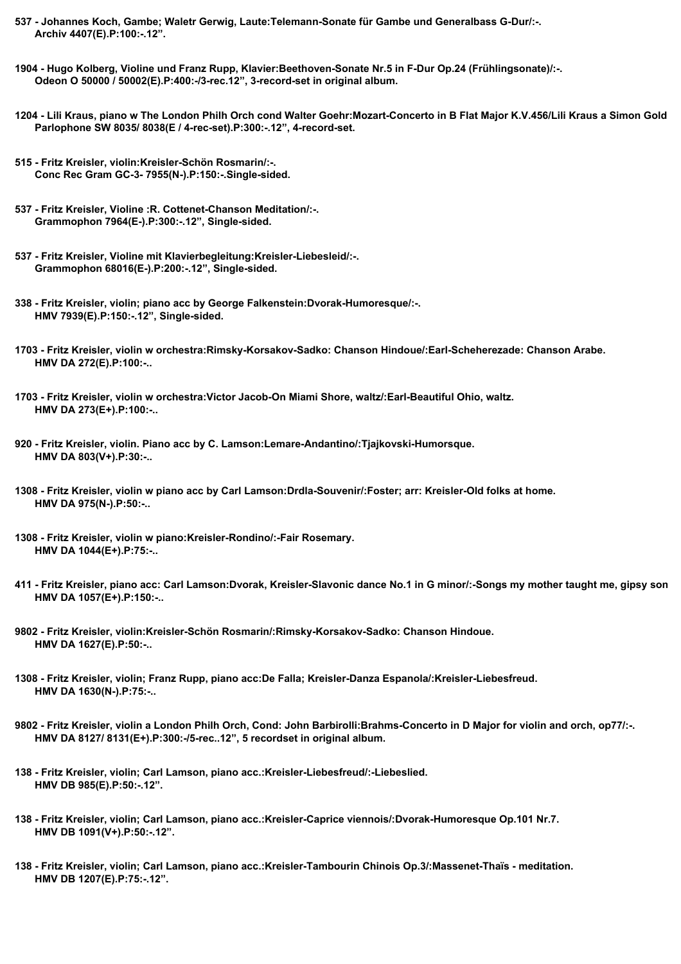- **537 Johannes Koch, Gambe; Waletr Gerwig, Laute:Telemann-Sonate für Gambe und Generalbass G-Dur/:-. Archiv 4407(E).P:100:-.12".**
- **1904 Hugo Kolberg, Violine und Franz Rupp, Klavier:Beethoven-Sonate Nr.5 in F-Dur Op.24 (Frühlingsonate)/:-. Odeon O 50000 / 50002(E).P:400:-/3-rec.12", 3-record-set in original album.**
- 1204 Lili Kraus, piano w The London Philh Orch cond Walter Goehr:Mozart-Concerto in B Flat Major K.V.456/Lili Kraus a Simon Gold  **Parlophone SW 8035/ 8038(E / 4-rec-set).P:300:-.12", 4-record-set.**
- **515 Fritz Kreisler, violin:Kreisler-Schön Rosmarin/:-. Conc Rec Gram GC-3- 7955(N-).P:150:-.Single-sided.**
- **537 Fritz Kreisler, Violine :R. Cottenet-Chanson Meditation/:-. Grammophon 7964(E-).P:300:-.12", Single-sided.**
- **537 Fritz Kreisler, Violine mit Klavierbegleitung:Kreisler-Liebesleid/:-. Grammophon 68016(E-).P:200:-.12", Single-sided.**
- **338 Fritz Kreisler, violin; piano acc by George Falkenstein:Dvorak-Humoresque/:-. HMV 7939(E).P:150:-.12", Single-sided.**
- **1703 Fritz Kreisler, violin w orchestra:Rimsky-Korsakov-Sadko: Chanson Hindoue/:Earl-Scheherezade: Chanson Arabe. HMV DA 272(E).P:100:-..**
- **1703 Fritz Kreisler, violin w orchestra:Victor Jacob-On Miami Shore, waltz/:Earl-Beautiful Ohio, waltz. HMV DA 273(E+).P:100:-..**
- **920 Fritz Kreisler, violin. Piano acc by C. Lamson:Lemare-Andantino/:Tjajkovski-Humorsque. HMV DA 803(V+).P:30:-..**
- **1308 Fritz Kreisler, violin w piano acc by Carl Lamson:Drdla-Souvenir/:Foster; arr: Kreisler-Old folks at home. HMV DA 975(N-).P:50:-..**
- **1308 Fritz Kreisler, violin w piano:Kreisler-Rondino/:-Fair Rosemary. HMV DA 1044(E+).P:75:-..**
- **411 Fritz Kreisler, piano acc: Carl Lamson:Dvorak, Kreisler-Slavonic dance No.1 in G minor/:-Songs my mother taught me, gipsy song. HMV DA 1057(E+).P:150:-..**
- **9802 Fritz Kreisler, violin:Kreisler-Schön Rosmarin/:Rimsky-Korsakov-Sadko: Chanson Hindoue. HMV DA 1627(E).P:50:-..**
- **1308 Fritz Kreisler, violin; Franz Rupp, piano acc:De Falla; Kreisler-Danza Espanola/:Kreisler-Liebesfreud. HMV DA 1630(N-).P:75:-..**
- **9802 Fritz Kreisler, violin a London Philh Orch, Cond: John Barbirolli:Brahms-Concerto in D Major for violin and orch, op77/:-. HMV DA 8127/ 8131(E+).P:300:-/5-rec..12", 5 recordset in original album.**
- **138 Fritz Kreisler, violin; Carl Lamson, piano acc.:Kreisler-Liebesfreud/:-Liebeslied. HMV DB 985(E).P:50:-.12".**
- **138 Fritz Kreisler, violin; Carl Lamson, piano acc.:Kreisler-Caprice viennois/:Dvorak-Humoresque Op.101 Nr.7. HMV DB 1091(V+).P:50:-.12".**
- **138 Fritz Kreisler, violin; Carl Lamson, piano acc.:Kreisler-Tambourin Chinois Op.3/:Massenet-Thaïs meditation. HMV DB 1207(E).P:75:-.12".**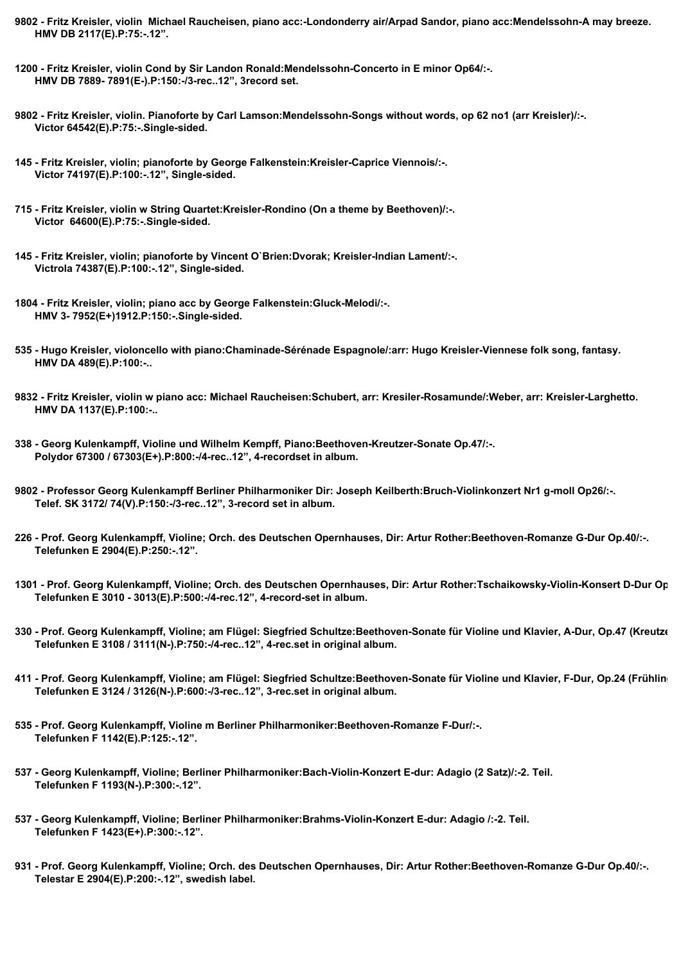- **9802 Fritz Kreisler, violin Michael Raucheisen, piano acc:-Londonderry air/Arpad Sandor, piano acc:Mendelssohn-A may breeze. HMV DB 2117(E).P:75:-.12".**
- **1200 Fritz Kreisler, violin Cond by Sir Landon Ronald:Mendelssohn-Concerto in E minor Op64/:-. HMV DB 7889- 7891(E-).P:150:-/3-rec..12", 3record set.**
- **9802 Fritz Kreisler, violin. Pianoforte by Carl Lamson:Mendelssohn-Songs without words, op 62 no1 (arr Kreisler)/:-. Victor 64542(E).P:75:-.Single-sided.**
- **145 Fritz Kreisler, violin; pianoforte by George Falkenstein:Kreisler-Caprice Viennois/:-. Victor 74197(E).P:100:-.12", Single-sided.**
- **715 Fritz Kreisler, violin w String Quartet:Kreisler-Rondino (On a theme by Beethoven)/:-. Victor 64600(E).P:75:-.Single-sided.**
- **145 Fritz Kreisler, violin; pianoforte by Vincent O`Brien:Dvorak; Kreisler-Indian Lament/:-. Victrola 74387(E).P:100:-.12", Single-sided.**
- **1804 Fritz Kreisler, violin; piano acc by George Falkenstein:Gluck-Melodi/:-. HMV 3- 7952(E+)1912.P:150:-.Single-sided.**
- **535 Hugo Kreisler, violoncello with piano:Chaminade-Sérénade Espagnole/:arr: Hugo Kreisler-Viennese folk song, fantasy. HMV DA 489(E).P:100:-..**
- **9832 Fritz Kreisler, violin w piano acc: Michael Raucheisen:Schubert, arr: Kresiler-Rosamunde/:Weber, arr: Kreisler-Larghetto. HMV DA 1137(E).P:100:-..**
- **338 Georg Kulenkampff, Violine und Wilhelm Kempff, Piano:Beethoven-Kreutzer-Sonate Op.47/:-. Polydor 67300 / 67303(E+).P:800:-/4-rec..12", 4-recordset in album.**
- **9802 Professor Georg Kulenkampff Berliner Philharmoniker Dir: Joseph Keilberth:Bruch-Violinkonzert Nr1 g-moll Op26/:-. Telef. SK 3172/ 74(V).P:150:-/3-rec..12", 3-record set in album.**
- **226 Prof. Georg Kulenkampff, Violine; Orch. des Deutschen Opernhauses, Dir: Artur Rother:Beethoven-Romanze G-Dur Op.40/:-. Telefunken E 2904(E).P:250:-.12".**
- **1301 Prof. Georg Kulenkampff, Violine; Orch. des Deutschen Opernhauses, Dir: Artur Rother:Tschaikowsky-Violin-Konsert D-Dur Op.35/:-. Telefunken E 3010 - 3013(E).P:500:-/4-rec.12", 4-record-set in album.**
- 330 Prof. Georg Kulenkampff, Violine; am Flügel: Siegfried Schultze:Beethoven-Sonate für Violine und Klavier, A-Dur, Op.47 (Kreutze  **Telefunken E 3108 / 3111(N-).P:750:-/4-rec..12", 4-rec.set in original album.**
- **411 Prof. Georg Kulenkampff, Violine; am Flügel: Siegfried Schultze:Beethoven-Sonate für Violine und Klavier, F-Dur, Op.24 (Frühlings-Sonate))/:-. Telefunken E 3124 / 3126(N-).P:600:-/3-rec..12", 3-rec.set in original album.**
- **535 Prof. Georg Kulenkampff, Violine m Berliner Philharmoniker:Beethoven-Romanze F-Dur/:-. Telefunken F 1142(E).P:125:-.12".**
- **537 Georg Kulenkampff, Violine; Berliner Philharmoniker:Bach-Violin-Konzert E-dur: Adagio (2 Satz)/:-2. Teil. Telefunken F 1193(N-).P:300:-.12".**
- **537 Georg Kulenkampff, Violine; Berliner Philharmoniker:Brahms-Violin-Konzert E-dur: Adagio /:-2. Teil. Telefunken F 1423(E+).P:300:-.12".**
- **931 Prof. Georg Kulenkampff, Violine; Orch. des Deutschen Opernhauses, Dir: Artur Rother:Beethoven-Romanze G-Dur Op.40/:-. Telestar E 2904(E).P:200:-.12", swedish label.**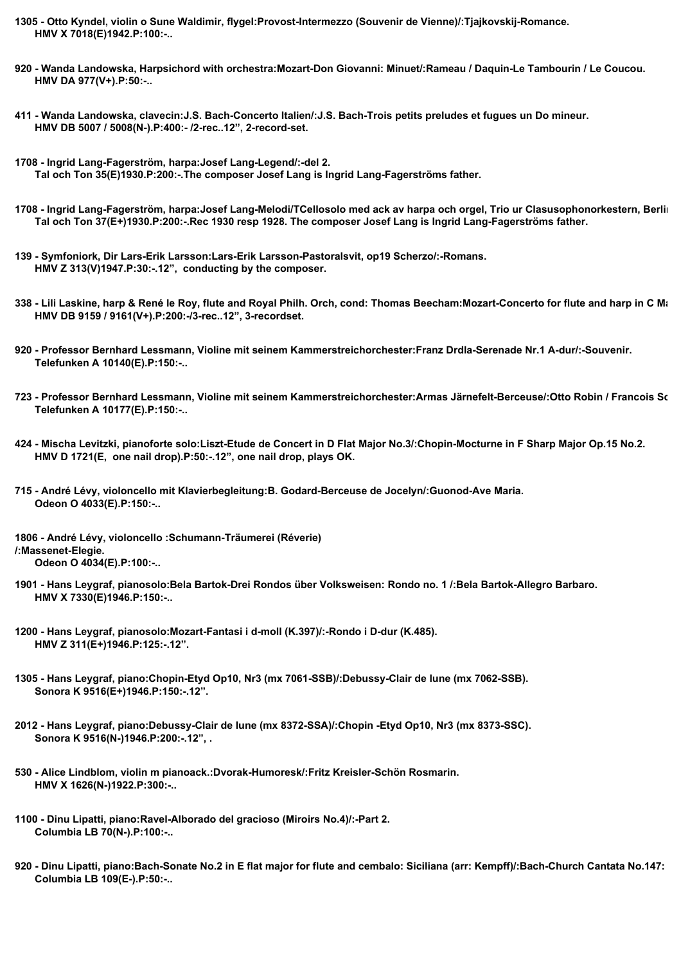- **1305 Otto Kyndel, violin o Sune Waldimir, flygel:Provost-Intermezzo (Souvenir de Vienne)/:Tjajkovskij-Romance. HMV X 7018(E)1942.P:100:-..**
- **920 Wanda Landowska, Harpsichord with orchestra:Mozart-Don Giovanni: Minuet/:Rameau / Daquin-Le Tambourin / Le Coucou. HMV DA 977(V+).P:50:-..**
- **411 Wanda Landowska, clavecin:J.S. Bach-Concerto Italien/:J.S. Bach-Trois petits preludes et fugues un Do mineur. HMV DB 5007 / 5008(N-).P:400:- /2-rec..12", 2-record-set.**
- **1708 Ingrid Lang-Fagerström, harpa:Josef Lang-Legend/:-del 2. Tal och Ton 35(E)1930.P:200:-.The composer Josef Lang is Ingrid Lang-Fagerströms father.**
- 1708 Ingrid Lang-Fagerström, harpa:Josef Lang-Melodi/TCellosolo med ack av harpa och orgel, Trio ur Clasusophonorkestern, Berlin  **Tal och Ton 37(E+)1930.P:200:-.Rec 1930 resp 1928. The composer Josef Lang is Ingrid Lang-Fagerströms father.**
- **139 Symfoniork, Dir Lars-Erik Larsson:Lars-Erik Larsson-Pastoralsvit, op19 Scherzo/:-Romans. HMV Z 313(V)1947.P:30:-.12", conducting by the composer.**
- 338 Lili Laskine, harp & René le Roy, flute and Royal Philh. Orch, cond: Thomas Beecham:Mozart-Concerto for flute and harp in C Ma  **HMV DB 9159 / 9161(V+).P:200:-/3-rec..12", 3-recordset.**
- **920 Professor Bernhard Lessmann, Violine mit seinem Kammerstreichorchester:Franz Drdla-Serenade Nr.1 A-dur/:-Souvenir. Telefunken A 10140(E).P:150:-..**
- **723 Professor Bernhard Lessmann, Violine mit seinem Kammerstreichorchester:Armas Järnefelt-Berceuse/:Otto Robin / Francois Schubert-Die Queile / Die Biene. Telefunken A 10177(E).P:150:-..**
- **424 Mischa Levitzki, pianoforte solo:Liszt-Etude de Concert in D Flat Major No.3/:Chopin-Mocturne in F Sharp Major Op.15 No.2. HMV D 1721(E, one nail drop).P:50:-.12", one nail drop, plays OK.**
- **715 André Lévy, violoncello mit Klavierbegleitung:B. Godard-Berceuse de Jocelyn/:Guonod-Ave Maria. Odeon O 4033(E).P:150:-..**
- **1806 André Lévy, violoncello :Schumann-Träumerei (Réverie) /:Massenet-Elegie. Odeon O 4034(E).P:100:-..**
- **1901 Hans Leygraf, pianosolo:Bela Bartok-Drei Rondos über Volksweisen: Rondo no. 1 /:Bela Bartok-Allegro Barbaro. HMV X 7330(E)1946.P:150:-..**
- **1200 Hans Leygraf, pianosolo:Mozart-Fantasi i d-moll (K.397)/:-Rondo i D-dur (K.485). HMV Z 311(E+)1946.P:125:-.12".**
- **1305 Hans Leygraf, piano:Chopin-Etyd Op10, Nr3 (mx 7061-SSB)/:Debussy-Clair de lune (mx 7062-SSB). Sonora K 9516(E+)1946.P:150:-.12".**
- **2012 Hans Leygraf, piano:Debussy-Clair de lune (mx 8372-SSA)/:Chopin -Etyd Op10, Nr3 (mx 8373-SSC). Sonora K 9516(N-)1946.P:200:-.12", .**
- **530 Alice Lindblom, violin m pianoack.:Dvorak-Humoresk/:Fritz Kreisler-Schön Rosmarin. HMV X 1626(N-)1922.P:300:-..**
- **1100 Dinu Lipatti, piano:Ravel-Alborado del gracioso (Miroirs No.4)/:-Part 2. Columbia LB 70(N-).P:100:-..**
- 920 Dinu Lipatti, piano:Bach-Sonate No.2 in E flat major for flute and cembalo: Siciliana (arr: Kempff)/:Bach-Church Cantata No.147:  **Columbia LB 109(E-).P:50:-..**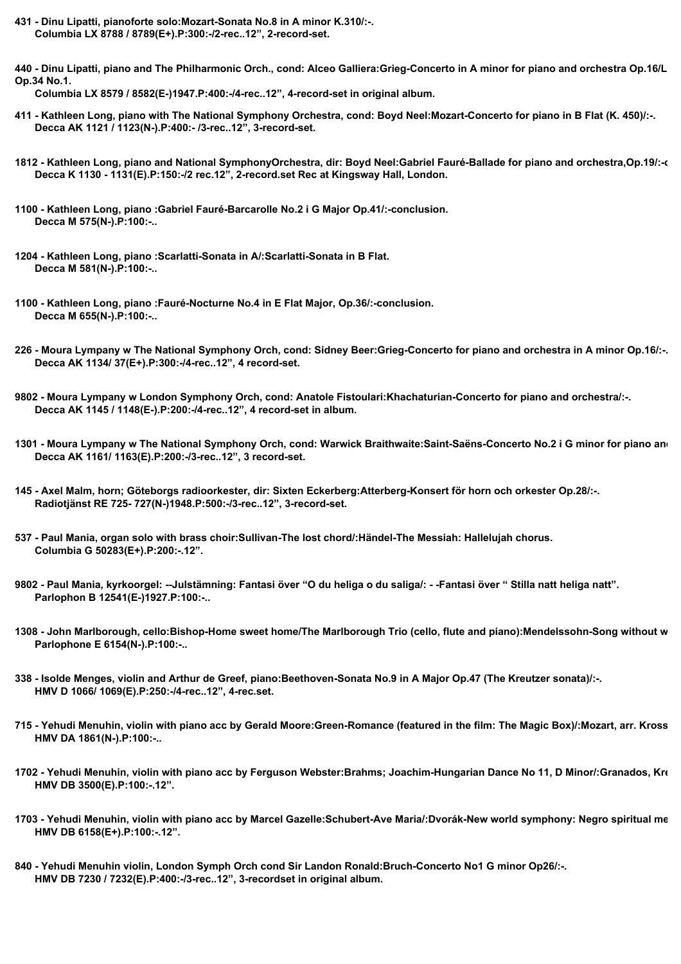**431 - Dinu Lipatti, pianoforte solo:Mozart-Sonata No.8 in A minor K.310/:-. Columbia LX 8788 / 8789(E+).P:300:-/2-rec..12", 2-record-set.**

440 - Dinu Lipatti, piano and The Philharmonic Orch., cond: Alceo Galliera:Grieg-Concerto in A minor for piano and orchestra Op.16/L **Op.34 No.1.**

 **Columbia LX 8579 / 8582(E-)1947.P:400:-/4-rec..12", 4-record-set in original album.**

- **411 Kathleen Long, piano with The National Symphony Orchestra, cond: Boyd Neel:Mozart-Concerto for piano in B Flat (K. 450)/:-. Decca AK 1121 / 1123(N-).P:400:- /3-rec..12", 3-record-set.**
- **1812 Kathleen Long, piano and National SymphonyOrchestra, dir: Boyd Neel:Gabriel Fauré-Ballade for piano and orchestra,Op.19/:-conclusion. Decca K 1130 - 1131(E).P:150:-/2 rec.12", 2-record.set Rec at Kingsway Hall, London.**
- **1100 Kathleen Long, piano :Gabriel Fauré-Barcarolle No.2 i G Major Op.41/:-conclusion. Decca M 575(N-).P:100:-..**
- **1204 Kathleen Long, piano :Scarlatti-Sonata in A/:Scarlatti-Sonata in B Flat. Decca M 581(N-).P:100:-..**
- **1100 Kathleen Long, piano :Fauré-Nocturne No.4 in E Flat Major, Op.36/:-conclusion. Decca M 655(N-).P:100:-..**
- **226 Moura Lympany w The National Symphony Orch, cond: Sidney Beer:Grieg-Concerto for piano and orchestra in A minor Op.16/:-. Decca AK 1134/ 37(E+).P:300:-/4-rec..12", 4 record-set.**
- **9802 Moura Lympany w London Symphony Orch, cond: Anatole Fistoulari:Khachaturian-Concerto for piano and orchestra/:-. Decca AK 1145 / 1148(E-).P:200:-/4-rec..12", 4 record-set in album.**
- 1301 Moura Lympany w The National Symphony Orch, cond: Warwick Braithwaite:Saint-Saëns-Concerto No.2 i G minor for piano and  **Decca AK 1161/ 1163(E).P:200:-/3-rec..12", 3 record-set.**
- **145 Axel Malm, horn; Göteborgs radioorkester, dir: Sixten Eckerberg:Atterberg-Konsert för horn och orkester Op.28/:-. Radiotjänst RE 725- 727(N-)1948.P:500:-/3-rec..12", 3-record-set.**
- **537 Paul Mania, organ solo with brass choir:Sullivan-The lost chord/:Händel-The Messiah: Hallelujah chorus. Columbia G 50283(E+).P:200:-.12".**
- **9802 Paul Mania, kyrkoorgel: --Julstämning: Fantasi över "O du heliga o du saliga/: -Fantasi över " Stilla natt heliga natt". Parlophon B 12541(E-)1927.P:100:-..**
- **1308 John Marlborough, cello:Bishop-Home sweet home/The Marlborough Trio (cello, flute and piano):Mendelssohn-Song without words. Parlophone E 6154(N-).P:100:-..**
- **338 Isolde Menges, violin and Arthur de Greef, piano:Beethoven-Sonata No.9 in A Major Op.47 (The Kreutzer sonata)/:-. HMV D 1066/ 1069(E).P:250:-/4-rec..12", 4-rec.set.**
- 715 Yehudi Menuhin, violin with piano acc by Gerald Moore:Green-Romance (featured in the film: The Magic Box)/:Mozart, arr. Kross  **HMV DA 1861(N-).P:100:-..**
- **1702 Yehudi Menuhin, violin with piano acc by Ferguson Webster:Brahms; Joachim-Hungarian Dance No 11, D Minor/:Granados, Kreisler-Spanish Dance. HMV DB 3500(E).P:100:-.12".**
- 1703 Yehudi Menuhin, violin with piano acc by Marcel Gazelle:Schubert-Ave Maria/:Dvorák-New world symphony: Negro spiritual me  **HMV DB 6158(E+).P:100:-.12".**
- **840 Yehudi Menuhin violin, London Symph Orch cond Sir Landon Ronald:Bruch-Concerto No1 G minor Op26/:-. HMV DB 7230 / 7232(E).P:400:-/3-rec..12", 3-recordset in original album.**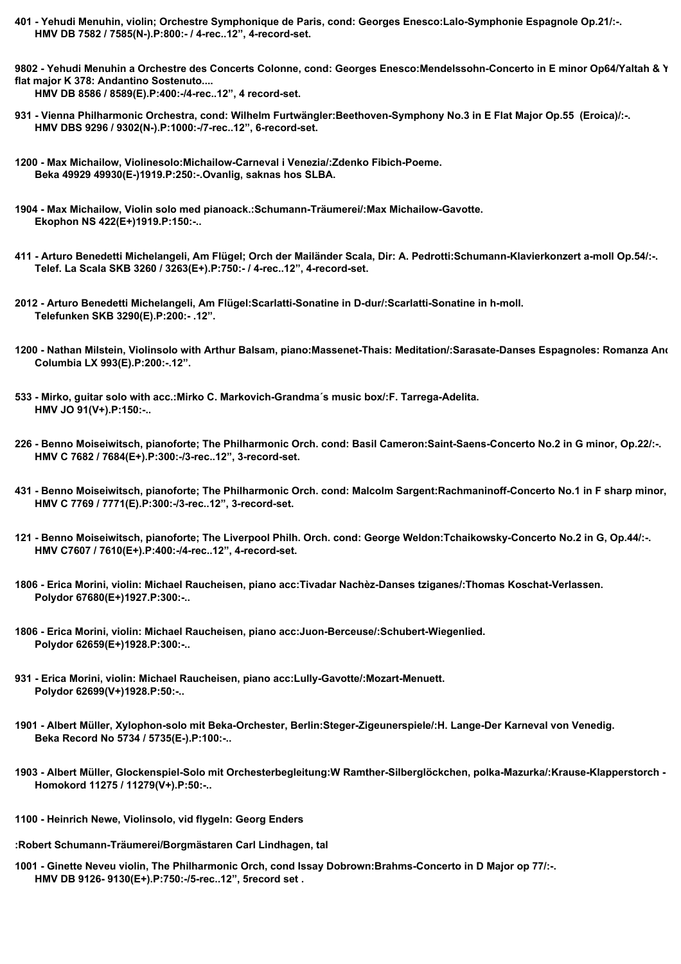- **401 Yehudi Menuhin, violin; Orchestre Symphonique de Paris, cond: Georges Enesco:Lalo-Symphonie Espagnole Op.21/:-. HMV DB 7582 / 7585(N-).P:800:- / 4-rec..12", 4-record-set.**
- **9802 Yehudi Menuhin a Orchestre des Concerts Colonne, cond: Georges Enesco:Mendelssohn-Concerto in E minor Op64/Yaltah & Yehudi Menuhin, piano & violin:Mozart-Sonata in B flat major K 378: Andantino Sostenuto....**

 **HMV DB 8586 / 8589(E).P:400:-/4-rec..12", 4 record-set.**

- **931 Vienna Philharmonic Orchestra, cond: Wilhelm Furtwängler:Beethoven-Symphony No.3 in E Flat Major Op.55 (Eroica)/:-. HMV DBS 9296 / 9302(N-).P:1000:-/7-rec..12", 6-record-set.**
- **1200 Max Michailow, Violinesolo:Michailow-Carneval i Venezia/:Zdenko Fibich-Poeme. Beka 49929 49930(E-)1919.P:250:-.Ovanlig, saknas hos SLBA.**
- **1904 Max Michailow, Violin solo med pianoack.:Schumann-Träumerei/:Max Michailow-Gavotte. Ekophon NS 422(E+)1919.P:150:-..**
- **411 Arturo Benedetti Michelangeli, Am Flügel; Orch der Mailänder Scala, Dir: A. Pedrotti:Schumann-Klavierkonzert a-moll Op.54/:-. Telef. La Scala SKB 3260 / 3263(E+).P:750:- / 4-rec..12", 4-record-set.**
- **2012 Arturo Benedetti Michelangeli, Am Flügel:Scarlatti-Sonatine in D-dur/:Scarlatti-Sonatine in h-moll. Telefunken SKB 3290(E).P:200:- .12".**
- 1200 Nathan Milstein, Violinsolo with Arthur Balsam, piano:Massenet-Thais: Meditation/:Sarasate-Danses Espagnoles: Romanza And  **Columbia LX 993(E).P:200:-.12".**
- **533 Mirko, guitar solo with acc.:Mirko C. Markovich-Grandma´s music box/:F. Tarrega-Adelita. HMV JO 91(V+).P:150:-..**
- **226 Benno Moiseiwitsch, pianoforte; The Philharmonic Orch. cond: Basil Cameron:Saint-Saens-Concerto No.2 in G minor, Op.22/:-. HMV C 7682 / 7684(E+).P:300:-/3-rec..12", 3-record-set.**
- 431 Benno Moiseiwitsch, pianoforte; The Philharmonic Orch. cond: Malcolm Sargent:Rachmaninoff-Concerto No.1 in F sharp minor,  **HMV C 7769 / 7771(E).P:300:-/3-rec..12", 3-record-set.**
- **121 Benno Moiseiwitsch, pianoforte; The Liverpool Philh. Orch. cond: George Weldon:Tchaikowsky-Concerto No.2 in G, Op.44/:-. HMV C7607 / 7610(E+).P:400:-/4-rec..12", 4-record-set.**
- **1806 Erica Morini, violin: Michael Raucheisen, piano acc:Tivadar Nachèz-Danses tziganes/:Thomas Koschat-Verlassen. Polydor 67680(E+)1927.P:300:-..**
- **1806 Erica Morini, violin: Michael Raucheisen, piano acc:Juon-Berceuse/:Schubert-Wiegenlied. Polydor 62659(E+)1928.P:300:-..**
- **931 Erica Morini, violin: Michael Raucheisen, piano acc:Lully-Gavotte/:Mozart-Menuett. Polydor 62699(V+)1928.P:50:-..**
- **1901 Albert Müller, Xylophon-solo mit Beka-Orchester, Berlin:Steger-Zigeunerspiele/:H. Lange-Der Karneval von Venedig. Beka Record No 5734 / 5735(E-).P:100:-..**
- **1903 Albert Müller, Glockenspiel-Solo mit Orchesterbegleitung:W Ramther-Silberglöckchen, polka-Mazurka/:Krause-Klapperstorch Polka. Homokord 11275 / 11279(V+).P:50:-..**
- **1100 Heinrich Newe, Violinsolo, vid flygeln: Georg Enders**
- **:Robert Schumann-Träumerei/Borgmästaren Carl Lindhagen, tal**
- **1001 Ginette Neveu violin, The Philharmonic Orch, cond Issay Dobrown:Brahms-Concerto in D Major op 77/:-. HMV DB 9126- 9130(E+).P:750:-/5-rec..12", 5record set .**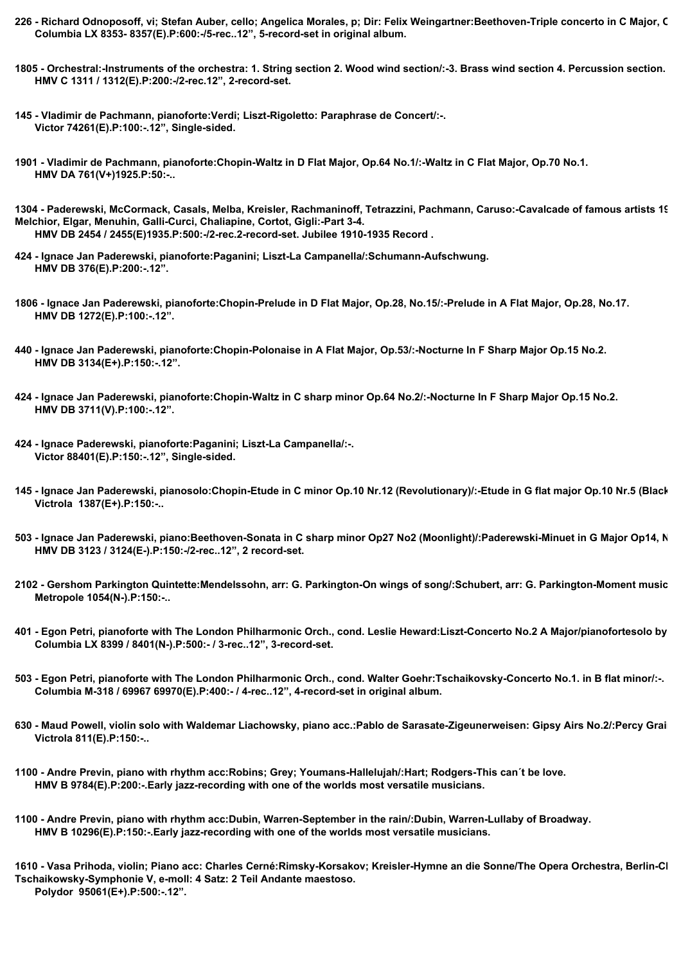- 226 Richard Odnoposoff, vi; Stefan Auber, cello; Angelica Morales, p; Dir: Felix Weingartner:Beethoven-Triple concerto in C Major, C  **Columbia LX 8353- 8357(E).P:600:-/5-rec..12", 5-record-set in original album.**
- **1805 Orchestral:-Instruments of the orchestra: 1. String section 2. Wood wind section/:-3. Brass wind section 4. Percussion section. HMV C 1311 / 1312(E).P:200:-/2-rec.12", 2-record-set.**
- **145 Vladimir de Pachmann, pianoforte:Verdi; Liszt-Rigoletto: Paraphrase de Concert/:-. Victor 74261(E).P:100:-.12", Single-sided.**
- **1901 Vladimir de Pachmann, pianoforte:Chopin-Waltz in D Flat Major, Op.64 No.1/:-Waltz in C Flat Major, Op.70 No.1. HMV DA 761(V+)1925.P:50:-..**

**1304 - Paderewski, McCormack, Casals, Melba, Kreisler, Rachmaninoff, Tetrazzini, Pachmann, Caruso:-Cavalcade of famous artists 1910-1935 Part 1-2/Backhaus, Schumann, Horowitz, Melchior, Elgar, Menuhin, Galli-Curci, Chaliapine, Cortot, Gigli:-Part 3-4. HMV DB 2454 / 2455(E)1935.P:500:-/2-rec.2-record-set. Jubilee 1910-1935 Record .**

- **424 Ignace Jan Paderewski, pianoforte:Paganini; Liszt-La Campanella/:Schumann-Aufschwung. HMV DB 376(E).P:200:-.12".**
- **1806 Ignace Jan Paderewski, pianoforte:Chopin-Prelude in D Flat Major, Op.28, No.15/:-Prelude in A Flat Major, Op.28, No.17. HMV DB 1272(E).P:100:-.12".**
- **440 Ignace Jan Paderewski, pianoforte:Chopin-Polonaise in A Flat Major, Op.53/:-Nocturne In F Sharp Major Op.15 No.2. HMV DB 3134(E+).P:150:-.12".**
- **424 Ignace Jan Paderewski, pianoforte:Chopin-Waltz in C sharp minor Op.64 No.2/:-Nocturne In F Sharp Major Op.15 No.2. HMV DB 3711(V).P:100:-.12".**
- **424 Ignace Paderewski, pianoforte:Paganini; Liszt-La Campanella/:-. Victor 88401(E).P:150:-.12", Single-sided.**
- **145 Ignace Jan Paderewski, pianosolo:Chopin-Etude in C minor Op.10 Nr.12 (Revolutionary)/:-Etude in G flat major Op.10 Nr.5 (Black keys). Victrola 1387(E+).P:150:-..**
- 503 Ignace Jan Paderewski, piano:Beethoven-Sonata in C sharp minor Op27 No2 (Moonlight)/:Paderewski-Minuet in G Major Op14, N  **HMV DB 3123 / 3124(E-).P:150:-/2-rec..12", 2 record-set.**
- **2102 Gershom Parkington Quintette:Mendelssohn, arr: G. Parkington-On wings of song/:Schubert, arr: G. Parkington-Moment musical. Metropole 1054(N-).P:150:-..**
- 401 Egon Petri, pianoforte with The London Philharmonic Orch., cond. Leslie Heward:Liszt-Concerto No.2 A Major/pianofortesolo by  **Columbia LX 8399 / 8401(N-).P:500:- / 3-rec..12", 3-record-set.**
- **503 Egon Petri, pianoforte with The London Philharmonic Orch., cond. Walter Goehr:Tschaikovsky-Concerto No.1. in B flat minor/:-. Columbia M-318 / 69967 69970(E).P:400:- / 4-rec..12", 4-record-set in original album.**
- 630 Maud Powell, violin solo with Waldemar Liachowsky, piano acc.:Pablo de Sarasate-Zigeunerweisen: Gipsy Airs No.2/:Percy Grai  **Victrola 811(E).P:150:-..**
- **1100 Andre Previn, piano with rhythm acc:Robins; Grey; Youmans-Hallelujah/:Hart; Rodgers-This can´t be love. HMV B 9784(E).P:200:-.Early jazz-recording with one of the worlds most versatile musicians.**
- **1100 Andre Previn, piano with rhythm acc:Dubin, Warren-September in the rain/:Dubin, Warren-Lullaby of Broadway. HMV B 10296(E).P:150:-.Early jazz-recording with one of the worlds most versatile musicians.**
- 1610 Vasa Prihoda, violin; Piano acc: Charles Cerné:Rimsky-Korsakov; Kreisler-Hymne an die Sonne/The Opera Orchestra, Berlin-Cl **Tschaikowsky-Symphonie V, e-moll: 4 Satz: 2 Teil Andante maestoso. Polydor 95061(E+).P:500:-.12".**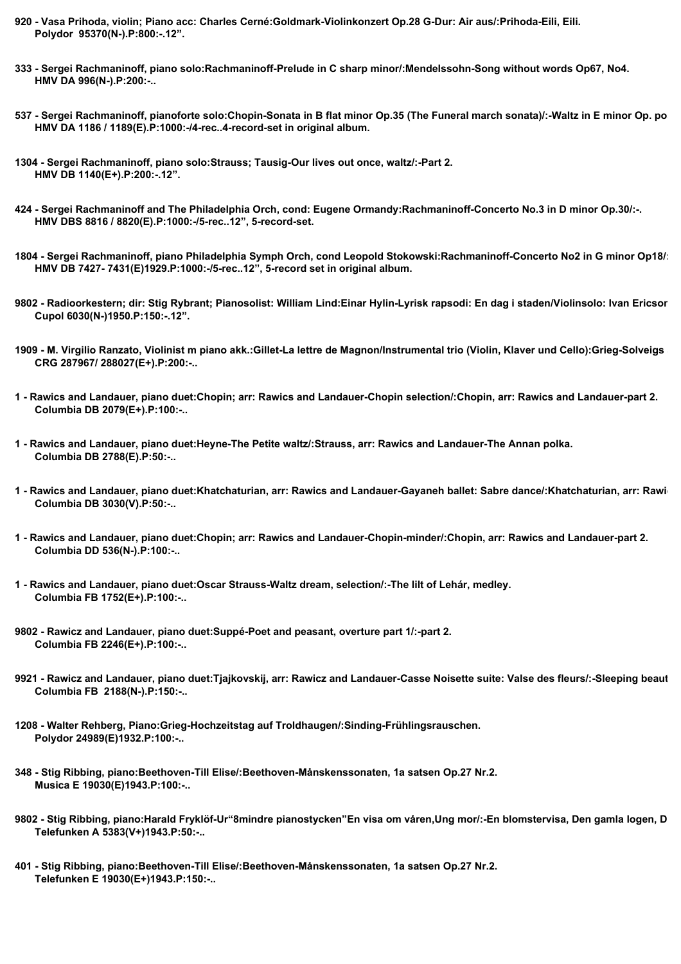- **920 Vasa Prihoda, violin; Piano acc: Charles Cerné:Goldmark-Violinkonzert Op.28 G-Dur: Air aus/:Prihoda-Eili, Eili. Polydor 95370(N-).P:800:-.12".**
- **333 Sergei Rachmaninoff, piano solo:Rachmaninoff-Prelude in C sharp minor/:Mendelssohn-Song without words Op67, No4. HMV DA 996(N-).P:200:-..**
- 537 Sergei Rachmaninoff, pianoforte solo:Chopin-Sonata in B flat minor Op.35 (The Funeral march sonata)/:-Waltz in E minor Op. po  **HMV DA 1186 / 1189(E).P:1000:-/4-rec..4-record-set in original album.**
- **1304 Sergei Rachmaninoff, piano solo:Strauss; Tausig-Our lives out once, waltz/:-Part 2. HMV DB 1140(E+).P:200:-.12".**
- **424 Sergei Rachmaninoff and The Philadelphia Orch, cond: Eugene Ormandy:Rachmaninoff-Concerto No.3 in D minor Op.30/:-. HMV DBS 8816 / 8820(E).P:1000:-/5-rec..12", 5-record-set.**
- 1804 Sergei Rachmaninoff, piano Philadelphia Symph Orch, cond Leopold Stokowski:Rachmaninoff-Concerto No2 in G minor Op18/:  **HMV DB 7427- 7431(E)1929.P:1000:-/5-rec..12", 5-record set in original album.**
- 9802 Radioorkestern; dir: Stig Rybrant; Pianosolist: William Lind:Einar Hylin-Lyrisk rapsodi: En dag i staden/Violinsolo: Ivan Ericsor  **Cupol 6030(N-)1950.P:150:-.12".**
- **1909 M. Virgilio Ranzato, Violinist m piano akk.:Gillet-La lettre de Magnon/Instrumental trio (Violin, Klaver und Cello):Grieg-Solveigs sang. CRG 287967/ 288027(E+).P:200:-..**
- **1 Rawics and Landauer, piano duet:Chopin; arr: Rawics and Landauer-Chopin selection/:Chopin, arr: Rawics and Landauer-part 2. Columbia DB 2079(E+).P:100:-..**
- **1 Rawics and Landauer, piano duet:Heyne-The Petite waltz/:Strauss, arr: Rawics and Landauer-The Annan polka. Columbia DB 2788(E).P:50:-..**
- **1 Rawics and Landauer, piano duet:Khatchaturian, arr: Rawics and Landauer-Gayaneh ballet: Sabre dance/:Khatchaturian, arr: Rawics and Landauer-Masquerade: Waltz. Columbia DB 3030(V).P:50:-..**
- **1 Rawics and Landauer, piano duet:Chopin; arr: Rawics and Landauer-Chopin-minder/:Chopin, arr: Rawics and Landauer-part 2. Columbia DD 536(N-).P:100:-..**
- **1 Rawics and Landauer, piano duet:Oscar Strauss-Waltz dream, selection/:-The lilt of Lehár, medley. Columbia FB 1752(E+).P:100:-..**
- **9802 Rawicz and Landauer, piano duet:Suppé-Poet and peasant, overture part 1/:-part 2. Columbia FB 2246(E+).P:100:-..**
- 9921 Rawicz and Landauer, piano duet:Tjajkovskij, arr: Rawicz and Landauer-Casse Noisette suite: Valse des fleurs/:-Sleeping beaut  **Columbia FB 2188(N-).P:150:-..**
- **1208 Walter Rehberg, Piano:Grieg-Hochzeitstag auf Troldhaugen/:Sinding-Frühlingsrauschen. Polydor 24989(E)1932.P:100:-..**
- **348 Stig Ribbing, piano:Beethoven-Till Elise/:Beethoven-Månskenssonaten, 1a satsen Op.27 Nr.2. Musica E 19030(E)1943.P:100:-..**
- 9802 Stig Ribbing, piano:Harald Fryklöf-Ur"8mindre pianostycken"En visa om våren,Ung mor/:-En blomstervisa, Den gamla logen, D  **Telefunken A 5383(V+)1943.P:50:-..**
- **401 Stig Ribbing, piano:Beethoven-Till Elise/:Beethoven-Månskenssonaten, 1a satsen Op.27 Nr.2. Telefunken E 19030(E+)1943.P:150:-..**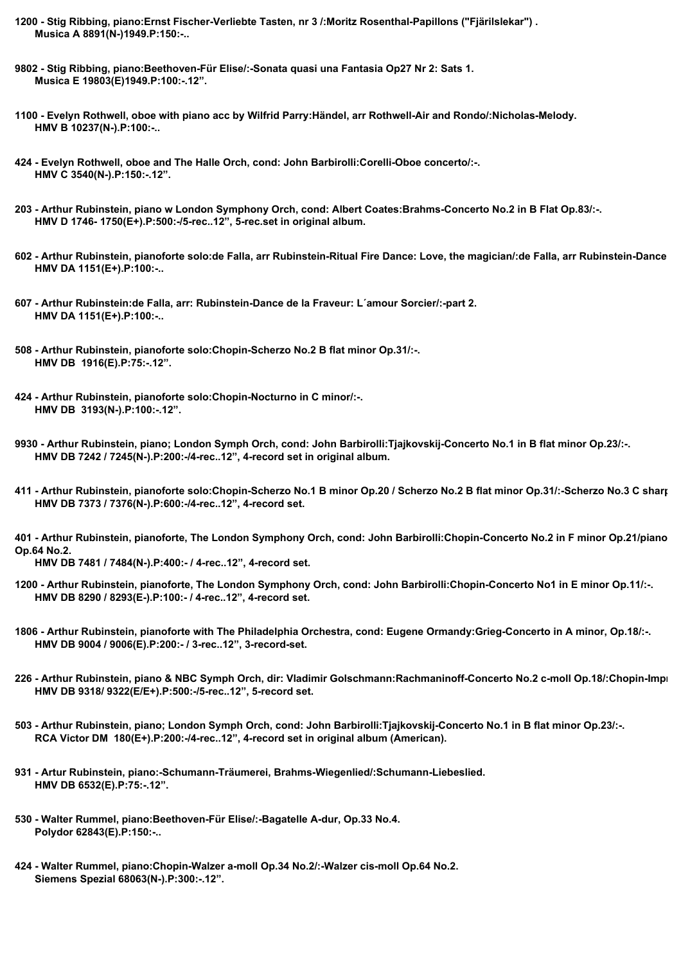- **1200 Stig Ribbing, piano:Ernst Fischer-Verliebte Tasten, nr 3 /:Moritz Rosenthal-Papillons ("Fjärilslekar") . Musica A 8891(N-)1949.P:150:-..**
- **9802 Stig Ribbing, piano:Beethoven-Für Elise/:-Sonata quasi una Fantasia Op27 Nr 2: Sats 1. Musica E 19803(E)1949.P:100:-.12".**
- **1100 Evelyn Rothwell, oboe with piano acc by Wilfrid Parry:Händel, arr Rothwell-Air and Rondo/:Nicholas-Melody. HMV B 10237(N-).P:100:-..**
- **424 Evelyn Rothwell, oboe and The Halle Orch, cond: John Barbirolli:Corelli-Oboe concerto/:-. HMV C 3540(N-).P:150:-.12".**
- **203 Arthur Rubinstein, piano w London Symphony Orch, cond: Albert Coates:Brahms-Concerto No.2 in B Flat Op.83/:-. HMV D 1746- 1750(E+).P:500:-/5-rec..12", 5-rec.set in original album.**
- 602 Arthur Rubinstein, pianoforte solo:de Falla, arr Rubinstein-Ritual Fire Dance: Love, the magician/:de Falla, arr Rubinstein-Dance  **HMV DA 1151(E+).P:100:-..**
- **607 Arthur Rubinstein:de Falla, arr: Rubinstein-Dance de la Fraveur: L´amour Sorcier/:-part 2. HMV DA 1151(E+).P:100:-..**
- **508 Arthur Rubinstein, pianoforte solo:Chopin-Scherzo No.2 B flat minor Op.31/:-. HMV DB 1916(E).P:75:-.12".**
- **424 Arthur Rubinstein, pianoforte solo:Chopin-Nocturno in C minor/:-. HMV DB 3193(N-).P:100:-.12".**
- **9930 Arthur Rubinstein, piano; London Symph Orch, cond: John Barbirolli:Tjajkovskij-Concerto No.1 in B flat minor Op.23/:-. HMV DB 7242 / 7245(N-).P:200:-/4-rec..12", 4-record set in original album.**
- **411 Arthur Rubinstein, pianoforte solo:Chopin-Scherzo No.1 B minor Op.20 / Scherzo No.2 B flat minor Op.31/:-Scherzo No.3 C sharp minor Op.38 / Scherzo No.4E Major Op.54. HMV DB 7373 / 7376(N-).P:600:-/4-rec..12", 4-record set.**

401 - Arthur Rubinstein, pianoforte, The London Symphony Orch, cond: John Barbirolli:Chopin-Concerto No.2 in F minor Op.21/piano **Op.64 No.2.**

 **HMV DB 7481 / 7484(N-).P:400:- / 4-rec..12", 4-record set.**

- **1200 Arthur Rubinstein, pianoforte, The London Symphony Orch, cond: John Barbirolli:Chopin-Concerto No1 in E minor Op.11/:-. HMV DB 8290 / 8293(E-).P:100:- / 4-rec..12", 4-record set.**
- **1806 Arthur Rubinstein, pianoforte with The Philadelphia Orchestra, cond: Eugene Ormandy:Grieg-Concerto in A minor, Op.18/:-. HMV DB 9004 / 9006(E).P:200:- / 3-rec..12", 3-record-set.**
- 226 Arthur Rubinstein, piano & NBC Symph Orch, dir: Vladimir Golschmann:Rachmaninoff-Concerto No.2 c-moll Op.18/:Chopin-Improm  **HMV DB 9318/ 9322(E/E+).P:500:-/5-rec..12", 5-record set.**
- **503 Arthur Rubinstein, piano; London Symph Orch, cond: John Barbirolli:Tjajkovskij-Concerto No.1 in B flat minor Op.23/:-. RCA Victor DM 180(E+).P:200:-/4-rec..12", 4-record set in original album (American).**
- **931 Artur Rubinstein, piano:-Schumann-Träumerei, Brahms-Wiegenlied/:Schumann-Liebeslied. HMV DB 6532(E).P:75:-.12".**
- **530 Walter Rummel, piano:Beethoven-Für Elise/:-Bagatelle A-dur, Op.33 No.4. Polydor 62843(E).P:150:-..**
- **424 Walter Rummel, piano:Chopin-Walzer a-moll Op.34 No.2/:-Walzer cis-moll Op.64 No.2. Siemens Spezial 68063(N-).P:300:-.12".**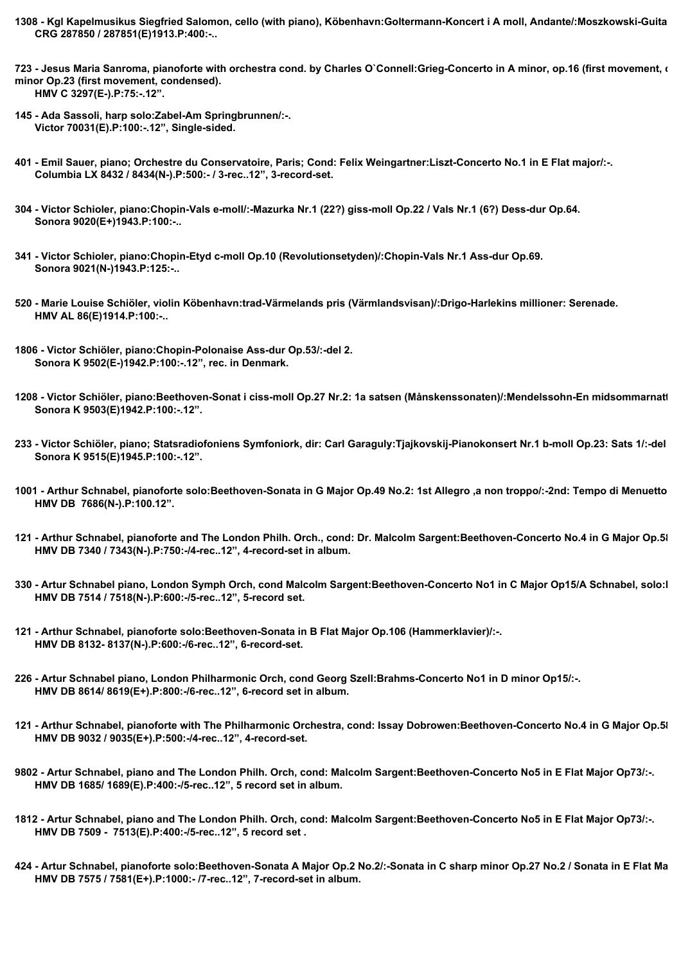- 1308 Kgl Kapelmusikus Siegfried Salomon, cello (with piano), Köbenhavn:Goltermann-Koncert i A moll, Andante/:Moszkowski-Guita  **CRG 287850 / 287851(E)1913.P:400:-..**
- 723 Jesus Maria Sanroma, pianoforte with orchestra cond. by Charles O`Connell:Grieg-Concerto in A minor, op.16 (first movement, o **minor Op.23 (first movement, condensed). HMV C 3297(E-).P:75:-.12".**
- **145 Ada Sassoli, harp solo:Zabel-Am Springbrunnen/:-. Victor 70031(E).P:100:-.12", Single-sided.**
- **401 Emil Sauer, piano; Orchestre du Conservatoire, Paris; Cond: Felix Weingartner:Liszt-Concerto No.1 in E Flat major/:-. Columbia LX 8432 / 8434(N-).P:500:- / 3-rec..12", 3-record-set.**
- **304 Victor Schioler, piano:Chopin-Vals e-moll/:-Mazurka Nr.1 (22?) giss-moll Op.22 / Vals Nr.1 (6?) Dess-dur Op.64. Sonora 9020(E+)1943.P:100:-..**
- **341 Victor Schioler, piano:Chopin-Etyd c-moll Op.10 (Revolutionsetyden)/:Chopin-Vals Nr.1 Ass-dur Op.69. Sonora 9021(N-)1943.P:125:-..**
- **520 Marie Louise Schiöler, violin Köbenhavn:trad-Värmelands pris (Värmlandsvisan)/:Drigo-Harlekins millioner: Serenade. HMV AL 86(E)1914.P:100:-..**
- **1806 Victor Schiöler, piano:Chopin-Polonaise Ass-dur Op.53/:-del 2. Sonora K 9502(E-)1942.P:100:-.12", rec. in Denmark.**
- 1208 Victor Schiöler, piano:Beethoven-Sonat i ciss-moll Op.27 Nr.2: 1a satsen (Månskenssonaten)/:Mendelssohn-En midsommarnatt  **Sonora K 9503(E)1942.P:100:-.12".**
- **233 Victor Schiöler, piano; Statsradiofoniens Symfoniork, dir: Carl Garaguly:Tjajkovskij-Pianokonsert Nr.1 b-moll Op.23: Sats 1/:-del 2. Sonora K 9515(E)1945.P:100:-.12".**
- **1001 Arthur Schnabel, pianoforte solo:Beethoven-Sonata in G Major Op.49 No.2: 1st Allegro ,a non troppo/:-2nd: Tempo di Menuetto. HMV DB 7686(N-).P:100.12".**
- 121 Arthur Schnabel, pianoforte and The London Philh. Orch., cond: Dr. Malcolm Sargent:Beethoven-Concerto No.4 in G Major Op.5/  **HMV DB 7340 / 7343(N-).P:750:-/4-rec..12", 4-record-set in album.**
- 330 Artur Schnabel piano, London Symph Orch, cond Malcolm Sargent:Beethoven-Concerto No1 in C Major Op15/A Schnabel, solo:l  **HMV DB 7514 / 7518(N-).P:600:-/5-rec..12", 5-record set.**
- **121 Arthur Schnabel, pianoforte solo:Beethoven-Sonata in B Flat Major Op.106 (Hammerklavier)/:-. HMV DB 8132- 8137(N-).P:600:-/6-rec..12", 6-record-set.**
- **226 Artur Schnabel piano, London Philharmonic Orch, cond Georg Szell:Brahms-Concerto No1 in D minor Op15/:-. HMV DB 8614/ 8619(E+).P:800:-/6-rec..12", 6-record set in album.**
- 121 Arthur Schnabel, pianoforte with The Philharmonic Orchestra, cond: Issay Dobrowen:Beethoven-Concerto No.4 in G Major Op.5/  **HMV DB 9032 / 9035(E+).P:500:-/4-rec..12", 4-record-set.**
- **9802 Artur Schnabel, piano and The London Philh. Orch, cond: Malcolm Sargent:Beethoven-Concerto No5 in E Flat Major Op73/:-. HMV DB 1685/ 1689(E).P:400:-/5-rec..12", 5 record set in album.**
- **1812 Artur Schnabel, piano and The London Philh. Orch, cond: Malcolm Sargent:Beethoven-Concerto No5 in E Flat Major Op73/:-. HMV DB 7509 - 7513(E).P:400:-/5-rec..12", 5 record set .**
- **424 Artur Schnabel, pianoforte solo:Beethoven-Sonata A Major Op.2 No.2/:-Sonata in C sharp minor Op.27 No.2 / Sonata in E Flat Major Op.81. HMV DB 7575 / 7581(E+).P:1000:- /7-rec..12", 7-record-set in album.**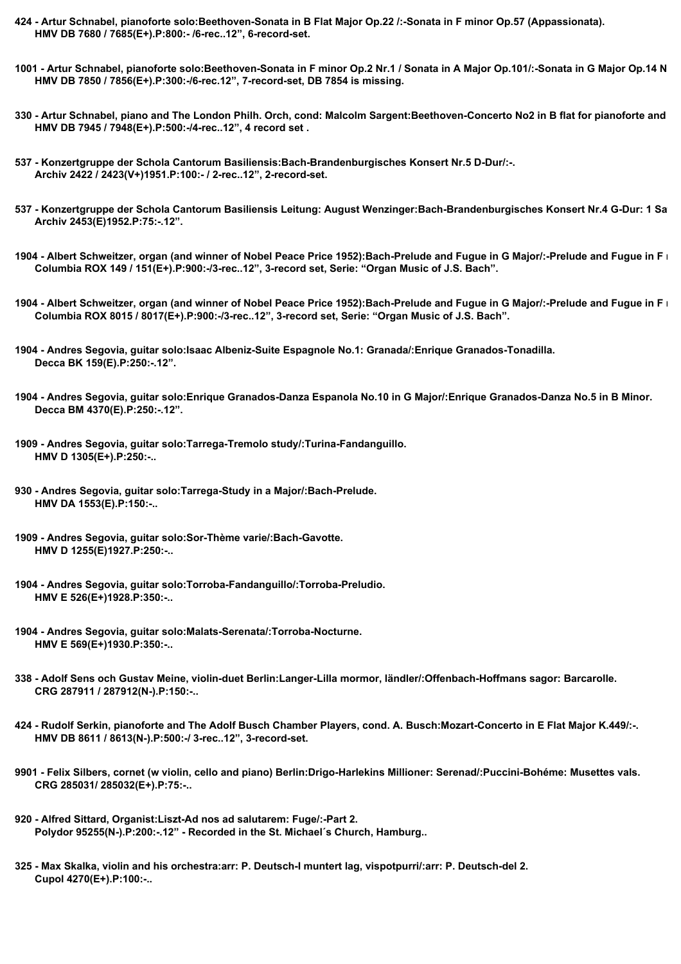- **424 Artur Schnabel, pianoforte solo:Beethoven-Sonata in B Flat Major Op.22 /:-Sonata in F minor Op.57 (Appassionata). HMV DB 7680 / 7685(E+).P:800:- /6-rec..12", 6-record-set.**
- 1001 Artur Schnabel, pianoforte solo:Beethoven-Sonata in F minor Op.2 Nr.1 / Sonata in A Major Op.101/:-Sonata in G Major Op.14 N  **HMV DB 7850 / 7856(E+).P:300:-/6-rec.12", 7-record-set, DB 7854 is missing.**
- 330 Artur Schnabel, piano and The London Philh. Orch, cond: Malcolm Sargent:Beethoven-Concerto No2 in B flat for pianoforte and  **HMV DB 7945 / 7948(E+).P:500:-/4-rec..12", 4 record set .**
- **537 Konzertgruppe der Schola Cantorum Basiliensis:Bach-Brandenburgisches Konsert Nr.5 D-Dur/:-. Archiv 2422 / 2423(V+)1951.P:100:- / 2-rec..12", 2-record-set.**
- 537 Konzertgruppe der Schola Cantorum Basiliensis Leitung: August Wenzinger:Bach-Brandenburgisches Konsert Nr.4 G-Dur: 1 Sa  **Archiv 2453(E)1952.P:75:-.12".**
- 1904 Albert Schweitzer, organ (and winner of Nobel Peace Price 1952):Bach-Prelude and Fugue in G Major/:-Prelude and Fugue in F  **Columbia ROX 149 / 151(E+).P:900:-/3-rec..12", 3-record set, Serie: "Organ Music of J.S. Bach".**
- 1904 Albert Schweitzer, organ (and winner of Nobel Peace Price 1952):Bach-Prelude and Fugue in G Major/:-Prelude and Fugue in F  **Columbia ROX 8015 / 8017(E+).P:900:-/3-rec..12", 3-record set, Serie: "Organ Music of J.S. Bach".**
- **1904 Andres Segovia, guitar solo:Isaac Albeniz-Suite Espagnole No.1: Granada/:Enrique Granados-Tonadilla. Decca BK 159(E).P:250:-.12".**
- **1904 Andres Segovia, guitar solo:Enrique Granados-Danza Espanola No.10 in G Major/:Enrique Granados-Danza No.5 in B Minor. Decca BM 4370(E).P:250:-.12".**
- **1909 Andres Segovia, guitar solo:Tarrega-Tremolo study/:Turina-Fandanguillo. HMV D 1305(E+).P:250:-..**
- **930 Andres Segovia, guitar solo:Tarrega-Study in a Major/:Bach-Prelude. HMV DA 1553(E).P:150:-..**
- **1909 Andres Segovia, guitar solo:Sor-Thème varie/:Bach-Gavotte. HMV D 1255(E)1927.P:250:-..**
- **1904 Andres Segovia, guitar solo:Torroba-Fandanguillo/:Torroba-Preludio. HMV E 526(E+)1928.P:350:-..**
- **1904 Andres Segovia, guitar solo:Malats-Serenata/:Torroba-Nocturne. HMV E 569(E+)1930.P:350:-..**
- **338 Adolf Sens och Gustav Meine, violin-duet Berlin:Langer-Lilla mormor, ländler/:Offenbach-Hoffmans sagor: Barcarolle. CRG 287911 / 287912(N-).P:150:-..**
- **424 Rudolf Serkin, pianoforte and The Adolf Busch Chamber Players, cond. A. Busch:Mozart-Concerto in E Flat Major K.449/:-. HMV DB 8611 / 8613(N-).P:500:-/ 3-rec..12", 3-record-set.**
- **9901 Felix Silbers, cornet (w violin, cello and piano) Berlin:Drigo-Harlekins Millioner: Serenad/:Puccini-Bohéme: Musettes vals. CRG 285031/ 285032(E+).P:75:-..**
- **920 Alfred Sittard, Organist:Liszt-Ad nos ad salutarem: Fuge/:-Part 2. Polydor 95255(N-).P:200:-.12" - Recorded in the St. Michael´s Church, Hamburg..**
- **325 Max Skalka, violin and his orchestra:arr: P. Deutsch-I muntert lag, vispotpurri/:arr: P. Deutsch-del 2. Cupol 4270(E+).P:100:-..**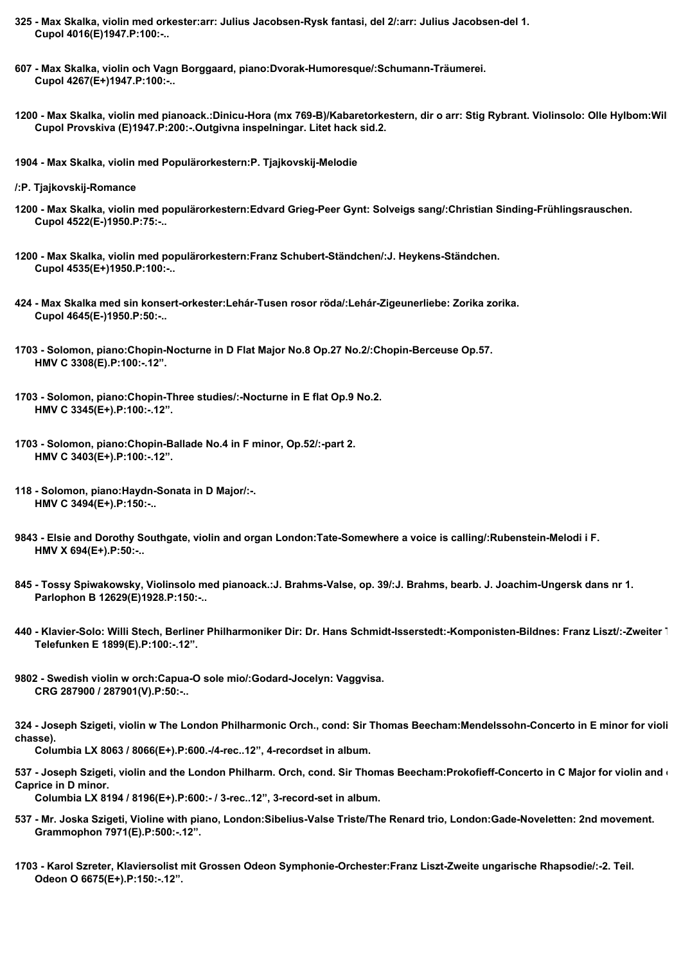- **325 Max Skalka, violin med orkester:arr: Julius Jacobsen-Rysk fantasi, del 2/:arr: Julius Jacobsen-del 1. Cupol 4016(E)1947.P:100:-..**
- **607 Max Skalka, violin och Vagn Borggaard, piano:Dvorak-Humoresque/:Schumann-Träumerei. Cupol 4267(E+)1947.P:100:-..**
- 1200 Max Skalka, violin med pianoack.:Dinicu-Hora (mx 769-B)/Kabaretorkestern, dir o arr: Stig Rybrant. Violinsolo: Olle Hylbom:Wil  **Cupol Provskiva (E)1947.P:200:-.Outgivna inspelningar. Litet hack sid.2.**
- **1904 Max Skalka, violin med Populärorkestern:P. Tjajkovskij-Melodie**
- **/:P. Tjajkovskij-Romance**
- **1200 Max Skalka, violin med populärorkestern:Edvard Grieg-Peer Gynt: Solveigs sang/:Christian Sinding-Frühlingsrauschen. Cupol 4522(E-)1950.P:75:-..**
- **1200 Max Skalka, violin med populärorkestern:Franz Schubert-Ständchen/:J. Heykens-Ständchen. Cupol 4535(E+)1950.P:100:-..**
- **424 Max Skalka med sin konsert-orkester:Lehár-Tusen rosor röda/:Lehár-Zigeunerliebe: Zorika zorika. Cupol 4645(E-)1950.P:50:-..**
- **1703 Solomon, piano:Chopin-Nocturne in D Flat Major No.8 Op.27 No.2/:Chopin-Berceuse Op.57. HMV C 3308(E).P:100:-.12".**
- **1703 Solomon, piano:Chopin-Three studies/:-Nocturne in E flat Op.9 No.2. HMV C 3345(E+).P:100:-.12".**
- **1703 Solomon, piano:Chopin-Ballade No.4 in F minor, Op.52/:-part 2. HMV C 3403(E+).P:100:-.12".**
- **118 Solomon, piano:Haydn-Sonata in D Major/:-. HMV C 3494(E+).P:150:-..**
- **9843 Elsie and Dorothy Southgate, violin and organ London:Tate-Somewhere a voice is calling/:Rubenstein-Melodi i F. HMV X 694(E+).P:50:-..**
- **845 Tossy Spiwakowsky, Violinsolo med pianoack.:J. Brahms-Valse, op. 39/:J. Brahms, bearb. J. Joachim-Ungersk dans nr 1. Parlophon B 12629(E)1928.P:150:-..**
- **440 Klavier-Solo: Willi Stech, Berliner Philharmoniker Dir: Dr. Hans Schmidt-Isserstedt:-Komponisten-Bildnes: Franz Liszt/:-Zweiter Teil. Telefunken E 1899(E).P:100:-.12".**
- **9802 Swedish violin w orch:Capua-O sole mio/:Godard-Jocelyn: Vaggvisa. CRG 287900 / 287901(V).P:50:-..**

324 - Joseph Szigeti, violin w The London Philharmonic Orch., cond: Sir Thomas Beecham:Mendelssohn-Concerto in E minor for violi **chasse).**

 **Columbia LX 8063 / 8066(E+).P:600.-/4-rec..12", 4-recordset in album.**

537 - Joseph Szigeti, violin and the London Philharm. Orch, cond. Sir Thomas Beecham:Prokofieff-Concerto in C Major for violin and **our Caprice in D minor.**

 **Columbia LX 8194 / 8196(E+).P:600:- / 3-rec..12", 3-record-set in album.**

- **537 Mr. Joska Szigeti, Violine with piano, London:Sibelius-Valse Triste/The Renard trio, London:Gade-Noveletten: 2nd movement. Grammophon 7971(E).P:500:-.12".**
- **1703 Karol Szreter, Klaviersolist mit Grossen Odeon Symphonie-Orchester:Franz Liszt-Zweite ungarische Rhapsodie/:-2. Teil. Odeon O 6675(E+).P:150:-.12".**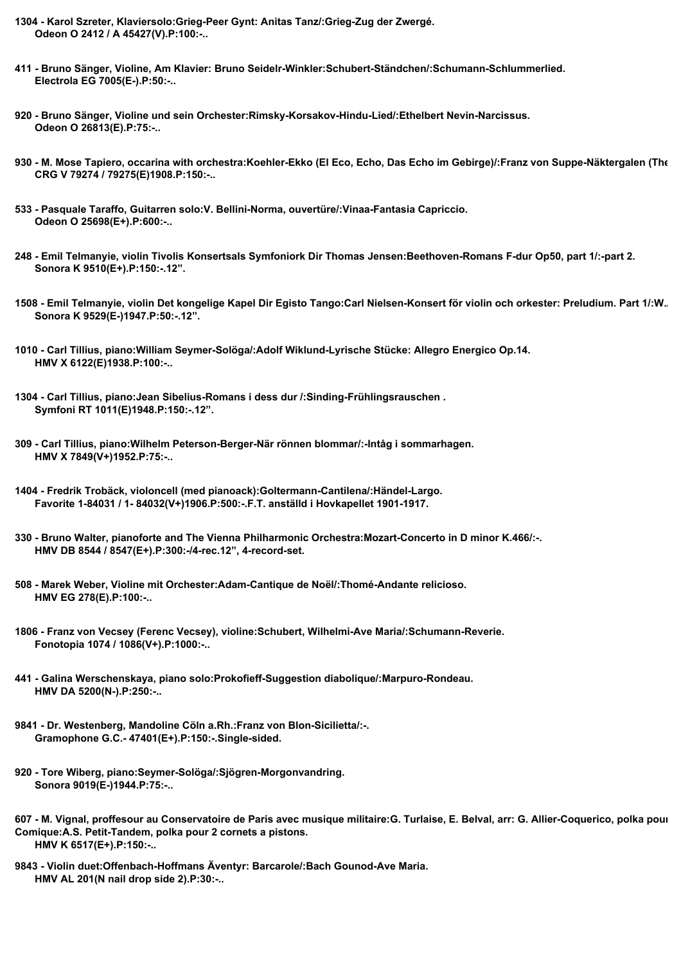- **1304 Karol Szreter, Klaviersolo:Grieg-Peer Gynt: Anitas Tanz/:Grieg-Zug der Zwergé. Odeon O 2412 / A 45427(V).P:100:-..**
- **411 Bruno Sänger, Violine, Am Klavier: Bruno Seidelr-Winkler:Schubert-Ständchen/:Schumann-Schlummerlied. Electrola EG 7005(E-).P:50:-..**
- **920 Bruno Sänger, Violine und sein Orchester:Rimsky-Korsakov-Hindu-Lied/:Ethelbert Nevin-Narcissus. Odeon O 26813(E).P:75:-..**
- 930 M. Mose Tapiero, occarina with orchestra:Koehler-Ekko (El Eco, Echo, Das Echo im Gebirge)/:Franz von Suppe-Näktergalen (The  **CRG V 79274 / 79275(E)1908.P:150:-..**
- **533 Pasquale Taraffo, Guitarren solo:V. Bellini-Norma, ouvertüre/:Vinaa-Fantasia Capriccio. Odeon O 25698(E+).P:600:-..**
- **248 Emil Telmanyie, violin Tivolis Konsertsals Symfoniork Dir Thomas Jensen:Beethoven-Romans F-dur Op50, part 1/:-part 2. Sonora K 9510(E+).P:150:-.12".**
- 1508 Emil Telmanyie, violin Det kongelige Kapel Dir Egisto Tango:Carl Nielsen-Konsert för violin och orkester: Preludium, Part 1/:W.  **Sonora K 9529(E-)1947.P:50:-.12".**
- **1010 Carl Tillius, piano:William Seymer-Solöga/:Adolf Wiklund-Lyrische Stücke: Allegro Energico Op.14. HMV X 6122(E)1938.P:100:-..**
- **1304 Carl Tillius, piano:Jean Sibelius-Romans i dess dur /:Sinding-Frühlingsrauschen . Symfoni RT 1011(E)1948.P:150:-.12".**
- **309 Carl Tillius, piano:Wilhelm Peterson-Berger-När rönnen blommar/:-Intåg i sommarhagen. HMV X 7849(V+)1952.P:75:-..**
- **1404 Fredrik Trobäck, violoncell (med pianoack):Goltermann-Cantilena/:Händel-Largo. Favorite 1-84031 / 1- 84032(V+)1906.P:500:-.F.T. anställd i Hovkapellet 1901-1917.**
- **330 Bruno Walter, pianoforte and The Vienna Philharmonic Orchestra:Mozart-Concerto in D minor K.466/:-. HMV DB 8544 / 8547(E+).P:300:-/4-rec.12", 4-record-set.**
- **508 Marek Weber, Violine mit Orchester:Adam-Cantique de Noël/:Thomé-Andante relicioso. HMV EG 278(E).P:100:-..**
- **1806 Franz von Vecsey (Ferenc Vecsey), violine:Schubert, Wilhelmi-Ave Maria/:Schumann-Reverie. Fonotopia 1074 / 1086(V+).P:1000:-..**
- **441 Galina Werschenskaya, piano solo:Prokofieff-Suggestion diabolique/:Marpuro-Rondeau. HMV DA 5200(N-).P:250:-..**
- **9841 Dr. Westenberg, Mandoline Cöln a.Rh.:Franz von Blon-Sicilietta/:-. Gramophone G.C.- 47401(E+).P:150:-.Single-sided.**
- **920 Tore Wiberg, piano:Seymer-Solöga/:Sjögren-Morgonvandring. Sonora 9019(E-)1944.P:75:-..**

**9843 - Violin duet:Offenbach-Hoffmans Äventyr: Barcarole/:Bach Gounod-Ave Maria. HMV AL 201(N nail drop side 2).P:30:-..**

<sup>607 -</sup> M. Vignal, proffesour au Conservatoire de Paris avec musique militaire: G. Turlaise, E. Belval, arr: G. Allier-Coquerico, polka pour **Comique:A.S. Petit-Tandem, polka pour 2 cornets a pistons. HMV K 6517(E+).P:150:-..**